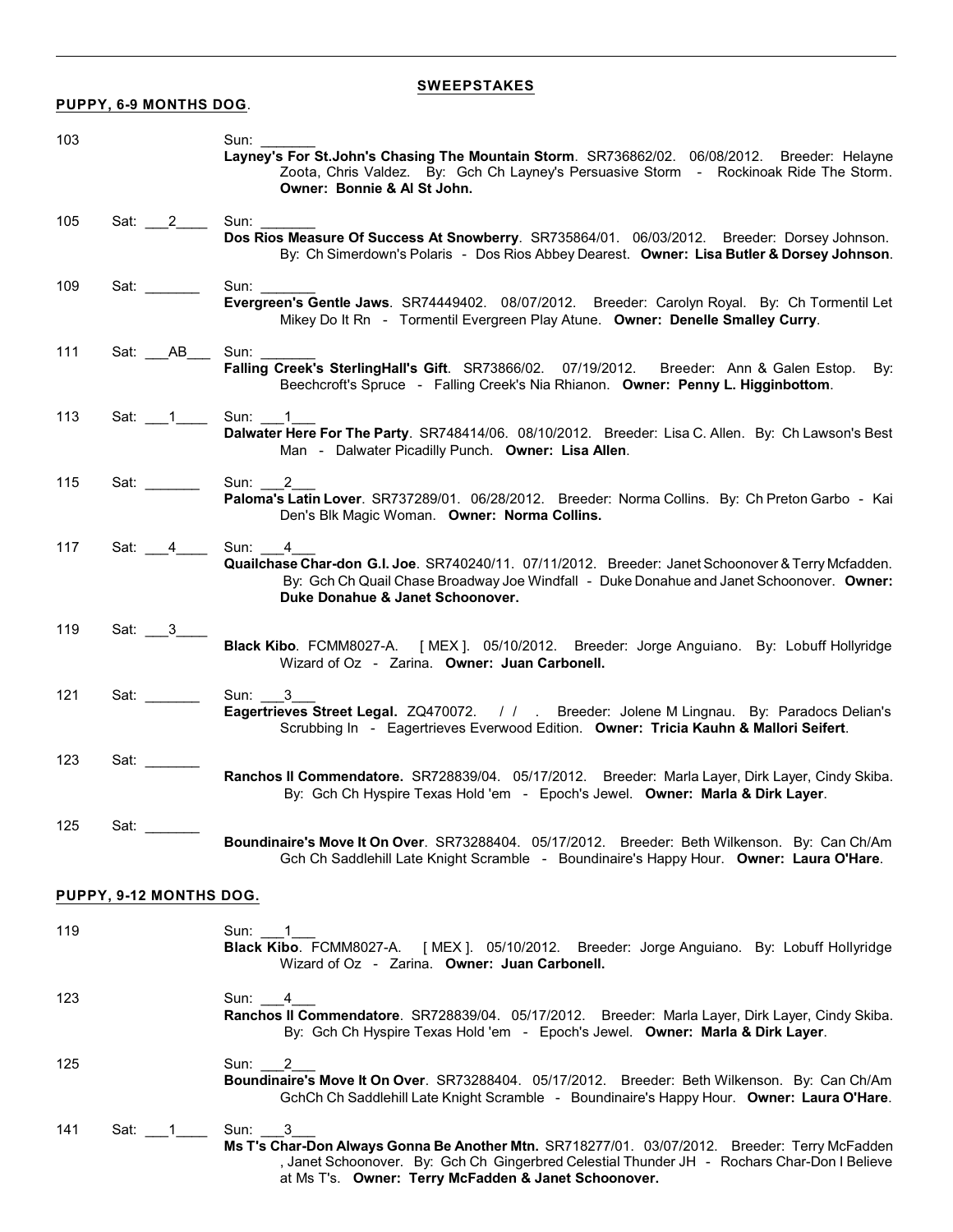# **SWEEPSTAKES**

# **PUPPY, 6-9 MONTHS DOG**.

| 103 |                         | Sun:<br>Layney's For St.John's Chasing The Mountain Storm. SR736862/02. 06/08/2012. Breeder: Helayne<br>Zoota, Chris Valdez. By: Gch Ch Layney's Persuasive Storm - Rockinoak Ride The Storm.<br>Owner: Bonnie & Al St John.                                      |
|-----|-------------------------|-------------------------------------------------------------------------------------------------------------------------------------------------------------------------------------------------------------------------------------------------------------------|
| 105 | Sat: 2                  | Sun:<br>Dos Rios Measure Of Success At Snowberry. SR735864/01. 06/03/2012. Breeder: Dorsey Johnson.<br>By: Ch Simerdown's Polaris - Dos Rios Abbey Dearest. Owner: Lisa Butler & Dorsey Johnson.                                                                  |
| 109 | Sat: www.com            | Sun: <b>Sun</b> :<br>Evergreen's Gentle Jaws. SR74449402. 08/07/2012. Breeder: Carolyn Royal. By: Ch Tormentil Let<br>Mikey Do It Rn - Tormentil Evergreen Play Atune. Owner: Denelle Smalley Curry.                                                              |
| 111 | Sat: AB                 | Sun: $\_\_$<br>Falling Creek's SterlingHall's Gift. SR73866/02. 07/19/2012. Breeder: Ann & Galen Estop.<br>By:<br>Beechcroft's Spruce - Falling Creek's Nia Rhianon. Owner: Penny L. Higginbottom.                                                                |
| 113 | Sat: $\_1$              | Sun: 1<br>Dalwater Here For The Party. SR748414/06. 08/10/2012. Breeder: Lisa C. Allen. By: Ch Lawson's Best<br>Man - Dalwater Picadilly Punch. Owner: Lisa Allen.                                                                                                |
| 115 | Sat: www.               | Sun: 2<br>Paloma's Latin Lover. SR737289/01. 06/28/2012. Breeder: Norma Collins. By: Ch Preton Garbo - Kai<br>Den's Blk Magic Woman. Owner: Norma Collins.                                                                                                        |
| 117 | Sat: 4                  | Sun:<br>4<br>Quailchase Char-don G.I. Joe. SR740240/11. 07/11/2012. Breeder: Janet Schoonover & Terry Mcfadden.<br>By: Gch Ch Quail Chase Broadway Joe Windfall - Duke Donahue and Janet Schoonover. Owner:<br>Duke Donahue & Janet Schoonover.                   |
| 119 | Sat: $\frac{3}{2}$      | Black Kibo. FCMM8027-A. [MEX]. 05/10/2012. Breeder: Jorge Anguiano. By: Lobuff Hollyridge<br>Wizard of Oz - Zarina. Owner: Juan Carbonell.                                                                                                                        |
| 121 | Sat: www.com            | Sun:<br>3<br>Eagertrieves Street Legal. ZQ470072. / / . Breeder: Jolene M Lingnau. By: Paradocs Delian's<br>Scrubbing In - Eagertrieves Everwood Edition. Owner: Tricia Kauhn & Mallori Seifert.                                                                  |
| 123 | Sat:                    | Ranchos II Commendatore. SR728839/04. 05/17/2012. Breeder: Marla Layer, Dirk Layer, Cindy Skiba.<br>By: Gch Ch Hyspire Texas Hold 'em - Epoch's Jewel. Owner: Marla & Dirk Layer.                                                                                 |
| 125 | Sat:                    | Boundinaire's Move It On Over. SR73288404. 05/17/2012. Breeder: Beth Wilkenson. By: Can Ch/Am<br>Gch Ch Saddlehill Late Knight Scramble - Boundinaire's Happy Hour. Owner: Laura O'Hare.                                                                          |
|     | PUPPY, 9-12 MONTHS DOG. |                                                                                                                                                                                                                                                                   |
| 119 |                         | Sun: 1<br>Black Kibo. FCMM8027-A. [MEX]. 05/10/2012. Breeder: Jorge Anguiano. By: Lobuff Hollyridge<br>Wizard of Oz - Zarina. Owner: Juan Carbonell.                                                                                                              |
| 123 |                         | Sun:<br>4<br>Ranchos II Commendatore. SR728839/04. 05/17/2012. Breeder: Marla Layer, Dirk Layer, Cindy Skiba.<br>By: Gch Ch Hyspire Texas Hold 'em - Epoch's Jewel. Owner: Marla & Dirk Layer.                                                                    |
| 125 |                         | Sun:<br>2<br>Boundinaire's Move It On Over. SR73288404. 05/17/2012. Breeder: Beth Wilkenson. By: Can Ch/Am<br>GchCh Ch Saddlehill Late Knight Scramble - Boundinaire's Happy Hour. Owner: Laura O'Hare.                                                           |
| 141 | Sat: 1                  | 3<br>Sun:<br>Ms T's Char-Don Always Gonna Be Another Mtn. SR718277/01. 03/07/2012. Breeder: Terry McFadden<br>, Janet Schoonover. By: Gch Ch Gingerbred Celestial Thunder JH - Rochars Char-Don I Believe<br>at Ms T's. Owner: Terry McFadden & Janet Schoonover. |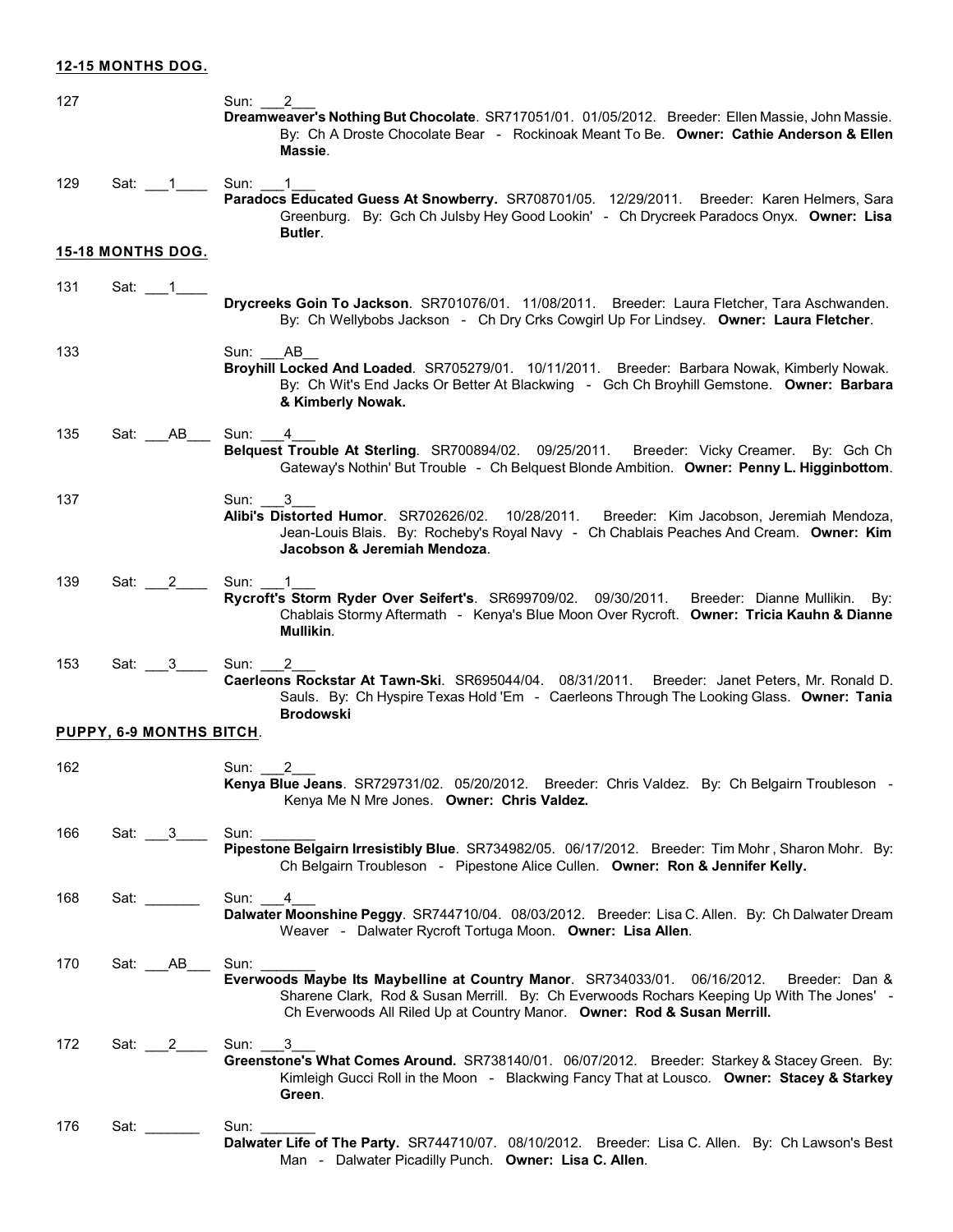# **12-15 MONTHS DOG.**

| 127 |                                                                | 2<br>Sun:<br>Dreamweaver's Nothing But Chocolate. SR717051/01. 01/05/2012. Breeder: Ellen Massie, John Massie.<br>By: Ch A Droste Chocolate Bear - Rockinoak Meant To Be. Owner: Cathie Anderson & Ellen<br>Massie.                                                                |
|-----|----------------------------------------------------------------|------------------------------------------------------------------------------------------------------------------------------------------------------------------------------------------------------------------------------------------------------------------------------------|
| 129 | Sat:                                                           | Sun:<br>Paradocs Educated Guess At Snowberry. SR708701/05. 12/29/2011. Breeder: Karen Helmers, Sara<br>Greenburg. By: Gch Ch Julsby Hey Good Lookin' - Ch Drycreek Paradocs Onyx. Owner: Lisa<br>Butler.                                                                           |
|     | 15-18 MONTHS DOG.                                              |                                                                                                                                                                                                                                                                                    |
| 131 | Sat:                                                           | Drycreeks Goin To Jackson. SR701076/01. 11/08/2011. Breeder: Laura Fletcher, Tara Aschwanden.<br>By: Ch Wellybobs Jackson - Ch Dry Crks Cowgirl Up For Lindsey. Owner: Laura Fletcher.                                                                                             |
| 133 |                                                                | Sun:<br>AB.<br>Broyhill Locked And Loaded. SR705279/01. 10/11/2011. Breeder: Barbara Nowak, Kimberly Nowak.<br>By: Ch Wit's End Jacks Or Better At Blackwing - Gch Ch Broyhill Gemstone. Owner: Barbara<br>& Kimberly Nowak.                                                       |
| 135 | AB<br>Sat:                                                     | Sun:<br>4<br>Belquest Trouble At Sterling. SR700894/02. 09/25/2011. Breeder: Vicky Creamer.<br>By: Gch Ch<br>Gateway's Nothin' But Trouble - Ch Belquest Blonde Ambition. Owner: Penny L. Higginbottom.                                                                            |
| 137 |                                                                | Sun: ___<br>3<br>Alibi's Distorted Humor. SR702626/02.<br>10/28/2011.<br>Breeder: Kim Jacobson, Jeremiah Mendoza,<br>Jean-Louis Blais. By: Rocheby's Royal Navy - Ch Chablais Peaches And Cream. Owner: Kim<br>Jacobson & Jeremiah Mendoza.                                        |
| 139 | Sat:<br>$\mathbf{2}$                                           | Sun:<br>1<br>Rycroft's Storm Ryder Over Seifert's. SR699709/02. 09/30/2011.<br>Breeder: Dianne Mullikin.<br>By:<br>Chablais Stormy Aftermath - Kenya's Blue Moon Over Rycroft. Owner: Tricia Kauhn & Dianne<br>Mullikin.                                                           |
| 153 | $\overline{\phantom{a}}$ 3<br>Sat:<br>PUPPY, 6-9 MONTHS BITCH. | Sun:<br>2<br>Caerleons Rockstar At Tawn-Ski. SR695044/04. 08/31/2011. Breeder: Janet Peters, Mr. Ronald D.<br>Sauls. By: Ch Hyspire Texas Hold 'Em - Caerleons Through The Looking Glass. Owner: Tania<br><b>Brodowski</b>                                                         |
|     |                                                                |                                                                                                                                                                                                                                                                                    |
| 162 |                                                                | Sun:<br>Kenya Blue Jeans. SR729731/02. 05/20/2012.<br>Breeder: Chris Valdez. By: Ch Belgairn Troubleson -<br>Kenya Me N Mre Jones. Owner: Chris Valdez.                                                                                                                            |
| 166 | Sat: 3                                                         | Sun:<br>Pipestone Belgairn Irresistibly Blue. SR734982/05. 06/17/2012. Breeder: Tim Mohr, Sharon Mohr. By:<br>Ch Belgairn Troubleson - Pipestone Alice Cullen. Owner: Ron & Jennifer Kelly.                                                                                        |
| 168 | Sat: www.                                                      | Sun: 4<br>Dalwater Moonshine Peggy. SR744710/04. 08/03/2012. Breeder: Lisa C. Allen. By: Ch Dalwater Dream<br>Weaver - Dalwater Rycroft Tortuga Moon. Owner: Lisa Allen.                                                                                                           |
| 170 | Sat: AB                                                        | Sun: $\_\_$<br>Everwoods Maybe Its Maybelline at Country Manor. SR734033/01. 06/16/2012.<br>Breeder: Dan &<br>Sharene Clark, Rod & Susan Merrill. By: Ch Everwoods Rochars Keeping Up With The Jones' -<br>Ch Everwoods All Riled Up at Country Manor. Owner: Rod & Susan Merrill. |
| 172 | Sat: $\_\_2$                                                   | Sun: 3<br>Greenstone's What Comes Around. SR738140/01. 06/07/2012. Breeder: Starkey & Stacey Green. By:<br>Kimleigh Gucci Roll in the Moon - Blackwing Fancy That at Lousco. Owner: Stacey & Starkey<br>Green.                                                                     |
| 176 | Sat: www.                                                      | Sun:<br>Dalwater Life of The Party. SR744710/07. 08/10/2012. Breeder: Lisa C. Allen. By: Ch Lawson's Best<br>Man - Dalwater Picadilly Punch. Owner: Lisa C. Allen.                                                                                                                 |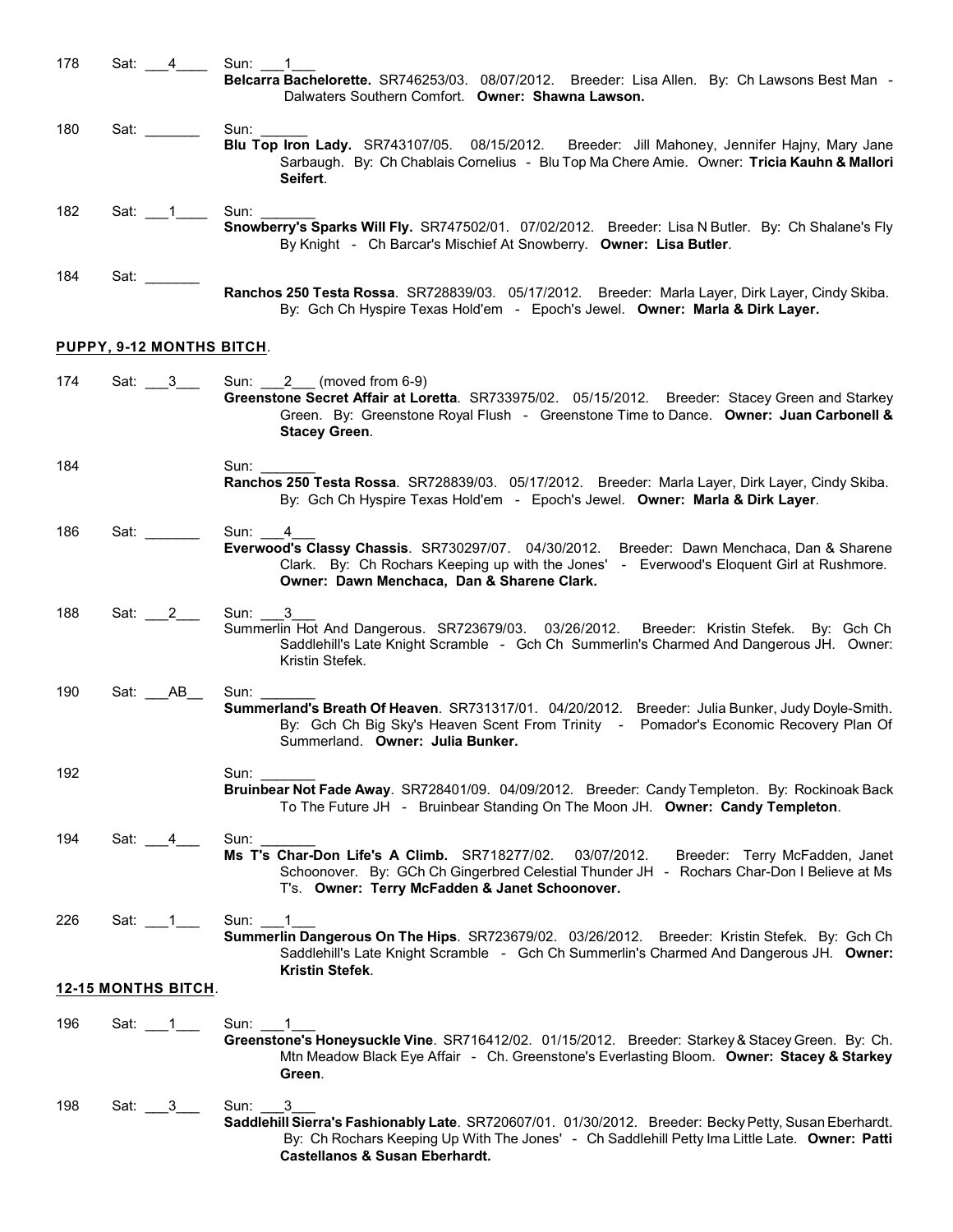178 Sat: 4\_\_\_\_ Sun: 1 **Belcarra Bachelorette.** SR746253/03. 08/07/2012. Breeder: Lisa Allen. By: Ch Lawsons Best Man - Dalwaters Southern Comfort. **Owner: Shawna Lawson.** 180 Sat: \_\_\_\_\_\_\_\_ Sun: **Blu Top Iron Lady.** SR743107/05. 08/15/2012. Breeder: Jill Mahoney, Jennifer Hajny, Mary Jane Sarbaugh. By: Ch Chablais Cornelius - Blu Top Ma Chere Amie. Owner: **Tricia Kauhn & Mallori Seifert**. 182 Sat: 1\_\_\_\_\_\_\_ Sun: **Snowberry's Sparks Will Fly.** SR747502/01. 07/02/2012. Breeder: Lisa N Butler. By: Ch Shalane's Fly By Knight - Ch Barcar's Mischief At Snowberry. **Owner: Lisa Butler**. 184 Sat: \_\_\_\_\_\_\_ **Ranchos 250 Testa Rossa**. SR728839/03. 05/17/2012. Breeder: Marla Layer, Dirk Layer, Cindy Skiba. By: Gch Ch Hyspire Texas Hold'em - Epoch's Jewel. **Owner: Marla & Dirk Layer. PUPPY, 9-12 MONTHS BITCH**. 174 Sat: 3 Sun: 2 (moved from 6-9) **Greenstone Secret Affair at Loretta**. SR733975/02. 05/15/2012. Breeder: Stacey Green and Starkey Green. By: Greenstone Royal Flush - Greenstone Time to Dance. **Owner: Juan Carbonell & Stacey Green**. 184 Sun: **Ranchos 250 Testa Rossa**. SR728839/03. 05/17/2012. Breeder: Marla Layer, Dirk Layer, Cindy Skiba. By: Gch Ch Hyspire Texas Hold'em - Epoch's Jewel. **Owner: Marla & Dirk Layer**. 186 Sat: \_\_\_\_\_\_\_\_ Sun: \_\_\_4 **Everwood's Classy Chassis**. SR730297/07. 04/30/2012. Breeder: Dawn Menchaca, Dan & Sharene Clark. By: Ch Rochars Keeping up with the Jones' - Everwood's Eloquent Girl at Rushmore. **Owner: Dawn Menchaca, Dan & Sharene Clark.** 188 Sat: 2\_\_\_ Sun: 3 Summerlin Hot And Dangerous. SR723679/03. 03/26/2012. Breeder: Kristin Stefek. By: Gch Ch Saddlehill's Late Knight Scramble - Gch Ch Summerlin's Charmed And Dangerous JH. Owner: Kristin Stefek. 190 Sat: \_\_\_\_AB\_\_\_ Sun: **Summerland's Breath Of Heaven**. SR731317/01. 04/20/2012. Breeder: Julia Bunker, Judy Doyle-Smith. By: Gch Ch Big Sky's Heaven Scent From Trinity - Pomador's Economic Recovery Plan Of Summerland. **Owner: Julia Bunker.** 192 Sun: \_\_\_\_\_\_\_ **Bruinbear Not Fade Away**. SR728401/09. 04/09/2012. Breeder: Candy Templeton. By: Rockinoak Back To The Future JH - Bruinbear Standing On The Moon JH. **Owner: Candy Templeton**. 194 Sat: 4\_\_\_\_\_ Sun: **Ms T's Char-Don Life's A Climb.** SR718277/02. 03/07/2012. Breeder: Terry McFadden, Janet Schoonover. By: GCh Ch Gingerbred Celestial Thunder JH - Rochars Char-Don I Believe at Ms T's. **Owner: Terry McFadden & Janet Schoonover.** 226 Sat: 1\_\_\_1\_\_\_\_ Sun: **Summerlin Dangerous On The Hips**. SR723679/02. 03/26/2012. Breeder: Kristin Stefek. By: Gch Ch Saddlehill's Late Knight Scramble - Gch Ch Summerlin's Charmed And Dangerous JH. **Owner: Kristin Stefek**. **12-15 MONTHS BITCH**. 196 Sat: 1\_\_1\_\_\_ Sun: 1\_\_1\_1 **Greenstone's Honeysuckle Vine**. SR716412/02. 01/15/2012. Breeder: Starkey& Stacey Green. By: Ch. Mtn Meadow Black Eye Affair - Ch. Greenstone's Everlasting Bloom. **Owner: Stacey & Starkey Green**. 198 Sat: 3\_\_\_ Sun: 3 **Saddlehill Sierra's Fashionably Late**. SR720607/01. 01/30/2012. Breeder: Becky Petty, Susan Eberhardt. By: Ch Rochars Keeping Up With The Jones' - Ch Saddlehill Petty Ima Little Late. **Owner: Patti Castellanos & Susan Eberhardt.**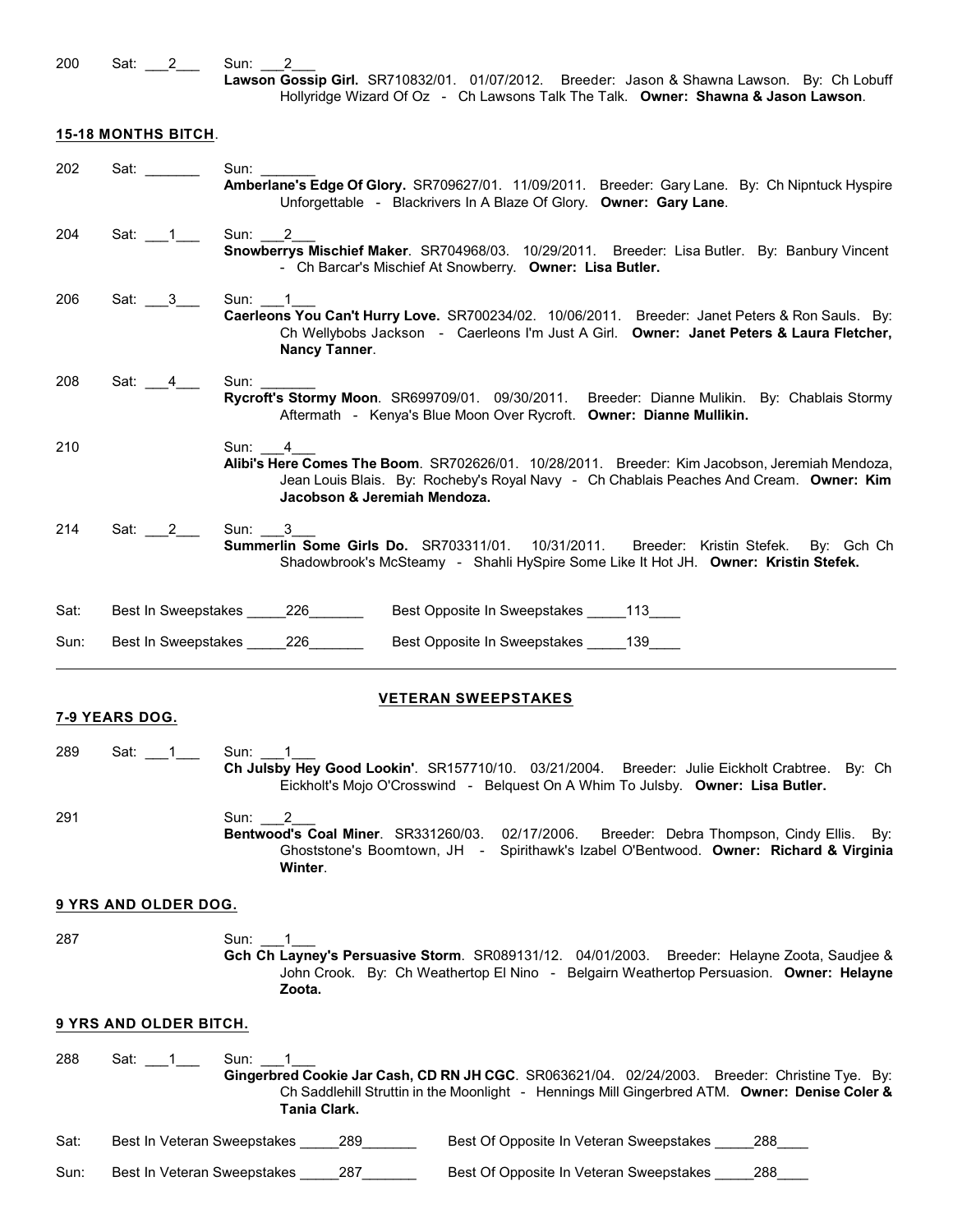200 Sat: 2\_\_\_ Sun: 2

### **15-18 MONTHS BITCH**.

| 202  | Sat: with the same of the same of the same of the same of the same of the same of the same of the same of the same of the same of the same of the same of the same of the same of the same of the same of the same of the same | Sun:<br>Amberlane's Edge Of Glory. SR709627/01. 11/09/2011. Breeder: Gary Lane. By: Ch Nipntuck Hyspire<br>Unforgettable - Blackrivers In A Blaze Of Glory. Owner: Gary Lane.                                                      |
|------|--------------------------------------------------------------------------------------------------------------------------------------------------------------------------------------------------------------------------------|------------------------------------------------------------------------------------------------------------------------------------------------------------------------------------------------------------------------------------|
| 204  | Sat: $1$                                                                                                                                                                                                                       | Sun: $2$<br>Snowberrys Mischief Maker. SR704968/03. 10/29/2011. Breeder: Lisa Butler. By: Banbury Vincent<br>- Ch Barcar's Mischief At Snowberry. Owner: Lisa Butler.                                                              |
| 206  | Sat: $3$                                                                                                                                                                                                                       | Sun: 1<br>Caerleons You Can't Hurry Love. SR700234/02. 10/06/2011. Breeder: Janet Peters & Ron Sauls. By:<br>Ch Wellybobs Jackson - Caerleons I'm Just A Girl. Owner: Janet Peters & Laura Fletcher,<br>Nancy Tanner.              |
| 208  | Sat: $4$ $-$                                                                                                                                                                                                                   | Sun:<br>Rycroft's Stormy Moon. SR699709/01. 09/30/2011. Breeder: Dianne Mulikin. By: Chablais Stormy<br>Aftermath - Kenya's Blue Moon Over Rycroft. Owner: Dianne Mullikin.                                                        |
| 210  |                                                                                                                                                                                                                                | Sun: 4<br>Alibi's Here Comes The Boom. SR702626/01. 10/28/2011. Breeder: Kim Jacobson, Jeremiah Mendoza,<br>Jean Louis Blais. By: Rocheby's Royal Navy - Ch Chablais Peaches And Cream. Owner: Kim<br>Jacobson & Jeremiah Mendoza. |
| 214  | Sat: $2$                                                                                                                                                                                                                       | Sun: 3<br>Summerlin Some Girls Do. SR703311/01. 10/31/2011. Breeder: Kristin Stefek.<br>By: Gch Ch<br>Shadowbrook's McSteamy - Shahli HySpire Some Like It Hot JH. Owner: Kristin Stefek.                                          |
| Sat: |                                                                                                                                                                                                                                | Best In Sweepstakes 226<br>Best Opposite In Sweepstakes ______ 113_____                                                                                                                                                            |
| Sun: |                                                                                                                                                                                                                                | Best In Sweepstakes 226<br>Best Opposite In Sweepstakes ______ 139                                                                                                                                                                 |
|      | 7-9 YEARS DOG.                                                                                                                                                                                                                 | <b>VETERAN SWEEPSTAKES</b>                                                                                                                                                                                                         |
| 289  | Sat: 1                                                                                                                                                                                                                         | Sun: 1<br>Ch Julsby Hey Good Lookin'. SR157710/10. 03/21/2004. Breeder: Julie Eickholt Crabtree. By: Ch<br>Eickholt's Mojo O'Crosswind - Belquest On A Whim To Julsby. Owner: Lisa Butler.                                         |
| 291  |                                                                                                                                                                                                                                | Sun:<br>2<br>Bentwood's Coal Miner. SR331260/03. 02/17/2006.<br>Breeder: Debra Thompson, Cindy Ellis. By:<br>Ghoststone's Boomtown, JH - Spirithawk's Izabel O'Bentwood. Owner: Richard & Virginia<br>Winter.                      |
|      | 9 YRS AND OLDER DOG.                                                                                                                                                                                                           |                                                                                                                                                                                                                                    |
| 287  |                                                                                                                                                                                                                                | Sun: 1<br>Gch Ch Layney's Persuasive Storm. SR089131/12. 04/01/2003. Breeder: Helayne Zoota, Saudjee &<br>John Crook. By: Ch Weathertop El Nino - Belgairn Weathertop Persuasion. Owner: Helayne<br>Zoota.                         |

## **9 YRS AND OLDER BITCH.**

288 Sat: 1\_\_\_1\_\_\_ Sun: 1\_\_1\_1 **Gingerbred Cookie Jar Cash, CD RN JH CGC**. SR063621/04. 02/24/2003. Breeder: Christine Tye. By: Ch Saddlehill Struttin in the Moonlight - Hennings Mill Gingerbred ATM. **Owner: Denise Coler & Tania Clark.**

Sat: Best In Veteran Sweepstakes \_\_\_\_\_289\_\_\_\_\_\_\_ Best Of Opposite In Veteran Sweepstakes \_\_\_\_\_288\_\_\_\_

Sun: Best In Veteran Sweepstakes \_\_\_\_\_287\_\_\_\_\_\_\_ Best Of Opposite In Veteran Sweepstakes \_\_\_\_\_288\_\_\_\_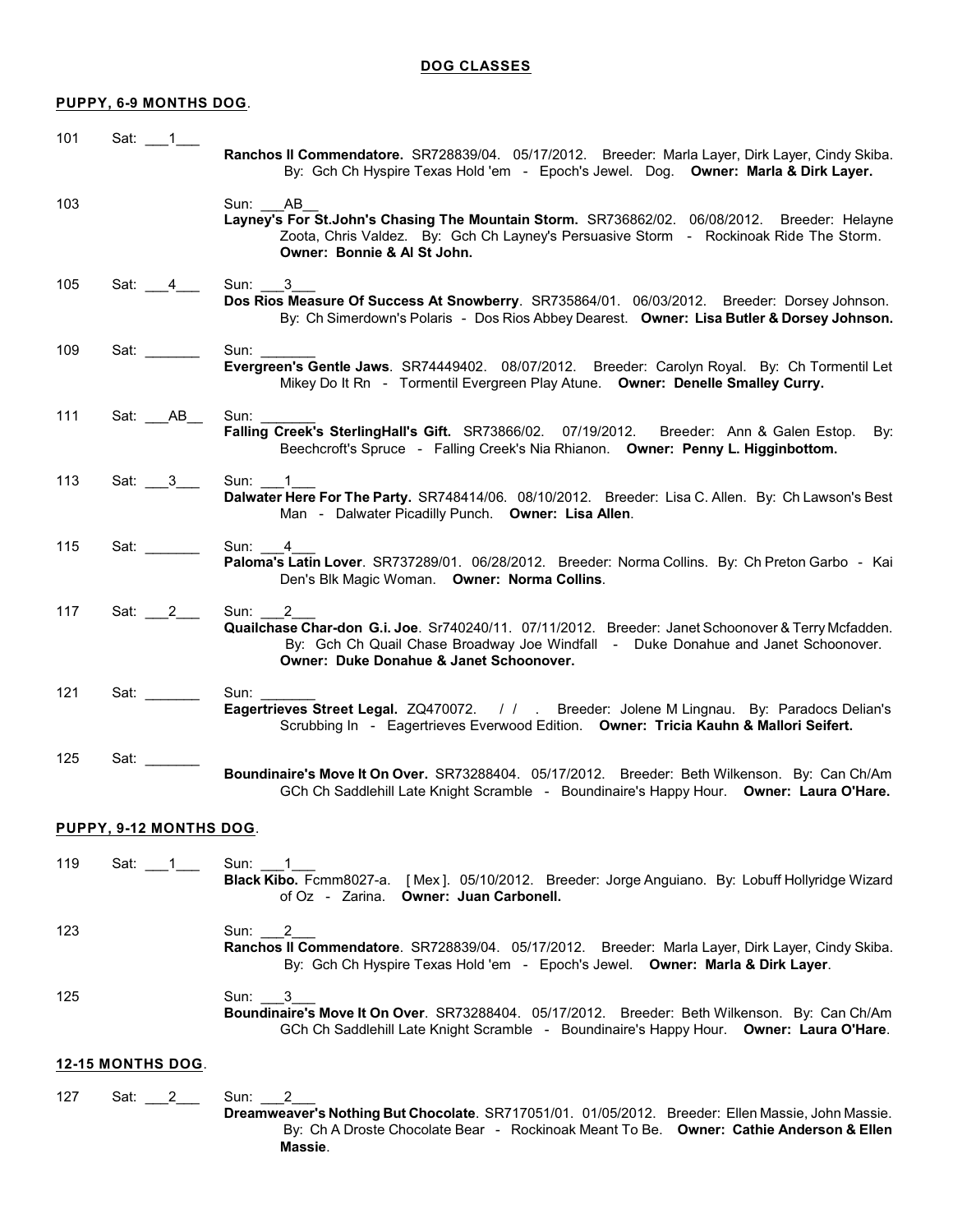# **PUPPY, 6-9 MONTHS DOG**.

| 101                      | Sat: 1                  | Ranchos II Commendatore. SR728839/04. 05/17/2012. Breeder: Marla Layer, Dirk Layer, Cindy Skiba.<br>By: Gch Ch Hyspire Texas Hold 'em - Epoch's Jewel. Dog. Owner: Marla & Dirk Layer.                                                          |
|--------------------------|-------------------------|-------------------------------------------------------------------------------------------------------------------------------------------------------------------------------------------------------------------------------------------------|
| 103                      |                         | Sun: _ AB<br>Layney's For St.John's Chasing The Mountain Storm. SR736862/02. 06/08/2012. Breeder: Helayne<br>Zoota, Chris Valdez. By: Gch Ch Layney's Persuasive Storm - Rockinoak Ride The Storm.<br>Owner: Bonnie & Al St John.               |
| 105                      | Sat: $\_4$              | Sun: 3<br>Dos Rios Measure Of Success At Snowberry. SR735864/01. 06/03/2012. Breeder: Dorsey Johnson.<br>By: Ch Simerdown's Polaris - Dos Rios Abbey Dearest. Owner: Lisa Butler & Dorsey Johnson.                                              |
| 109                      | Sat: _______            | Sun:<br>Evergreen's Gentle Jaws. SR74449402. 08/07/2012. Breeder: Carolyn Royal. By: Ch Tormentil Let<br>Mikey Do It Rn - Tormentil Evergreen Play Atune. Owner: Denelle Smalley Curry.                                                         |
| 111                      | Sat: AB                 | Sun:<br>Falling Creek's SterlingHall's Gift. SR73866/02. 07/19/2012. Breeder: Ann & Galen Estop.<br>By:<br>Beechcroft's Spruce - Falling Creek's Nia Rhianon. Owner: Penny L. Higginbottom.                                                     |
| 113                      | Sat: $3$                | Sun: 1<br>Dalwater Here For The Party. SR748414/06. 08/10/2012. Breeder: Lisa C. Allen. By: Ch Lawson's Best<br>Man - Dalwater Picadilly Punch. Owner: Lisa Allen.                                                                              |
| 115                      | Sat: $\_\_$             | Sun: 4<br>Paloma's Latin Lover. SR737289/01. 06/28/2012. Breeder: Norma Collins. By: Ch Preton Garbo - Kai<br>Den's Blk Magic Woman. Owner: Norma Collins.                                                                                      |
| 117                      | Sat: $2$                | 2<br>Sun:<br>Quailchase Char-don G.i. Joe. Sr740240/11. 07/11/2012. Breeder: Janet Schoonover & Terry Mcfadden.<br>By: Gch Ch Quail Chase Broadway Joe Windfall - Duke Donahue and Janet Schoonover.<br>Owner: Duke Donahue & Janet Schoonover. |
| 121                      | Sat: _______            | Sun:<br>Eagertrieves Street Legal. ZQ470072. / / . Breeder: Jolene M Lingnau. By: Paradocs Delian's<br>Scrubbing In - Eagertrieves Everwood Edition. Owner: Tricia Kauhn & Mallori Seifert.                                                     |
| 125                      | Sat:                    | Boundinaire's Move It On Over. SR73288404. 05/17/2012. Breeder: Beth Wilkenson. By: Can Ch/Am<br>GCh Ch Saddlehill Late Knight Scramble - Boundinaire's Happy Hour. Owner: Laura O'Hare.                                                        |
|                          | PUPPY, 9-12 MONTHS DOG. |                                                                                                                                                                                                                                                 |
| 119                      | Sat: 1                  | Sun: 1<br>Black Kibo. Fcmm8027-a. [Mex]. 05/10/2012. Breeder: Jorge Anguiano. By: Lobuff Hollyridge Wizard<br>of Oz - Zarina. Owner: Juan Carbonell.                                                                                            |
| 123                      |                         | 2<br>Sun: l<br>Ranchos II Commendatore. SR728839/04. 05/17/2012. Breeder: Marla Layer, Dirk Layer, Cindy Skiba.<br>By: Gch Ch Hyspire Texas Hold 'em - Epoch's Jewel. Owner: Marla & Dirk Layer.                                                |
| 125                      |                         | 3<br>Sun:<br>Boundinaire's Move It On Over. SR73288404. 05/17/2012. Breeder: Beth Wilkenson. By: Can Ch/Am<br>GCh Ch Saddlehill Late Knight Scramble - Boundinaire's Happy Hour. Owner: Laura O'Hare.                                           |
| <b>12-15 MONTHS DOG.</b> |                         |                                                                                                                                                                                                                                                 |
| 127                      | Sat: $\frac{2}{1}$      | Sun: 2<br>Dreamweaver's Nothing But Chocolate. SR717051/01. 01/05/2012. Breeder: Ellen Massie, John Massie.<br>By: Ch A Droste Chocolate Bear - Rockinoak Meant To Be. Owner: Cathie Anderson & Ellen                                           |

**Massie**.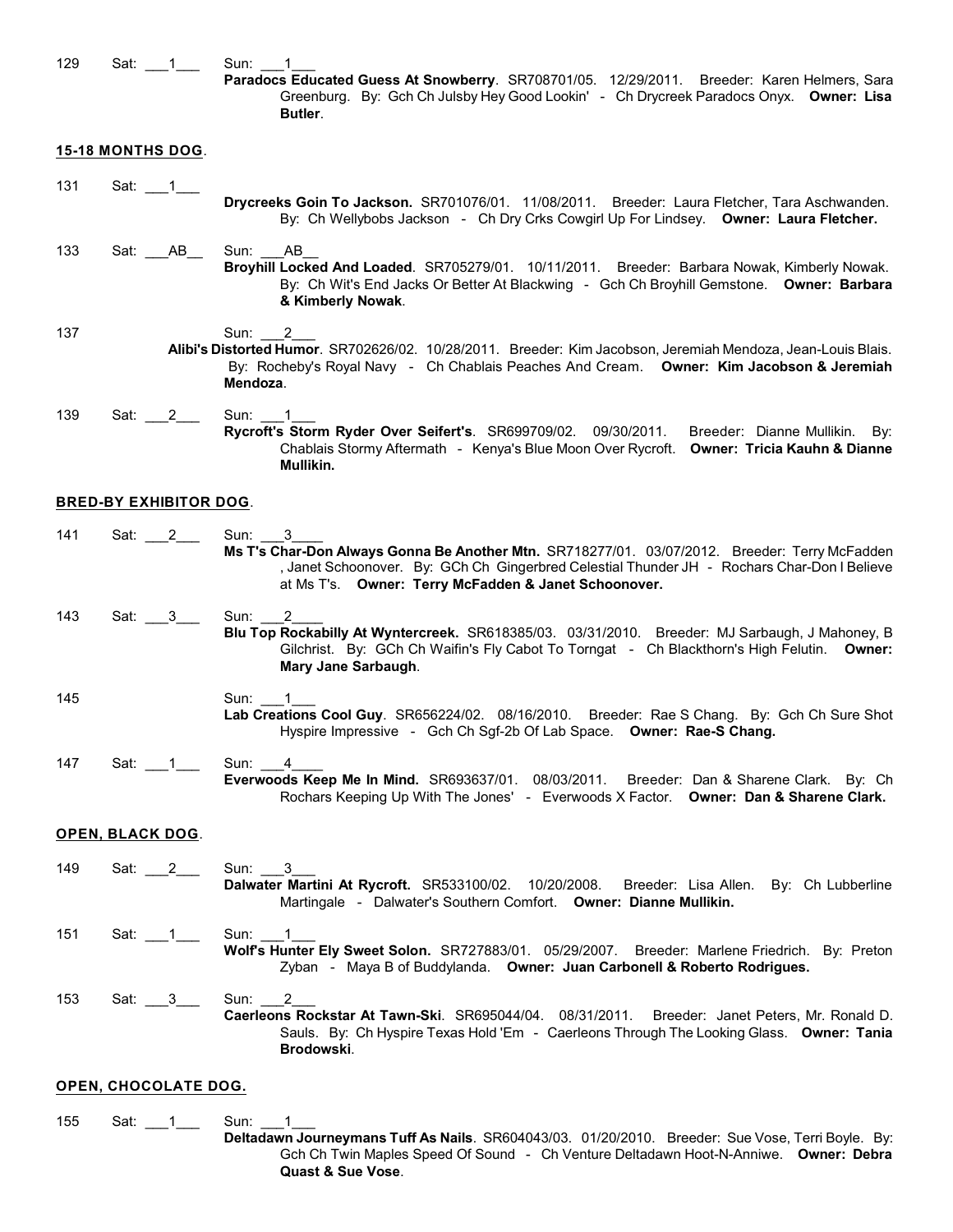| 129 | $\overline{\phantom{1}}$ 1<br>Sat: | Sun:                                                                                                                                                                                                                                                           |
|-----|------------------------------------|----------------------------------------------------------------------------------------------------------------------------------------------------------------------------------------------------------------------------------------------------------------|
|     |                                    | Paradocs Educated Guess At Snowberry. SR708701/05. 12/29/2011. Breeder: Karen Helmers, Sara<br>Greenburg. By: Gch Ch Julsby Hey Good Lookin' - Ch Drycreek Paradocs Onyx. Owner: Lisa<br>Butler.                                                               |
|     | <b>15-18 MONTHS DOG.</b>           |                                                                                                                                                                                                                                                                |
| 131 | Sat: 1                             |                                                                                                                                                                                                                                                                |
|     |                                    | Drycreeks Goin To Jackson. SR701076/01. 11/08/2011. Breeder: Laura Fletcher, Tara Aschwanden.<br>By: Ch Wellybobs Jackson - Ch Dry Crks Cowgirl Up For Lindsey. Owner: Laura Fletcher.                                                                         |
| 133 | Sat: $AB$                          | Sun:<br>AB<br>Broyhill Locked And Loaded. SR705279/01. 10/11/2011. Breeder: Barbara Nowak, Kimberly Nowak.<br>By: Ch Wit's End Jacks Or Better At Blackwing - Gch Ch Broyhill Gemstone. Owner: Barbara<br>& Kimberly Nowak.                                    |
| 137 |                                    | Sun:<br>2                                                                                                                                                                                                                                                      |
|     |                                    | Alibi's Distorted Humor. SR702626/02. 10/28/2011. Breeder: Kim Jacobson, Jeremiah Mendoza, Jean-Louis Blais.<br>By: Rocheby's Royal Navy - Ch Chablais Peaches And Cream. Owner: Kim Jacobson & Jeremiah<br>Mendoza.                                           |
| 139 | Sat: 2                             | Sun: 1<br>Rycroft's Storm Ryder Over Seifert's. SR699709/02. 09/30/2011. Breeder: Dianne Mullikin. By:<br>Chablais Stormy Aftermath - Kenya's Blue Moon Over Rycroft. Owner: Tricia Kauhn & Dianne<br>Mullikin.                                                |
|     | <b>BRED-BY EXHIBITOR DOG.</b>      |                                                                                                                                                                                                                                                                |
| 141 | Sat: 2                             | Sun: 3<br>Ms T's Char-Don Always Gonna Be Another Mtn. SR718277/01. 03/07/2012. Breeder: Terry McFadden<br>, Janet Schoonover. By: GCh Ch Gingerbred Celestial Thunder JH - Rochars Char-Don I Believe<br>at Ms T's. Owner: Terry McFadden & Janet Schoonover. |
| 143 | Sat: 3                             | 2<br>Sun:<br>Blu Top Rockabilly At Wyntercreek. SR618385/03. 03/31/2010. Breeder: MJ Sarbaugh, J Mahoney, B<br>Gilchrist. By: GCh Ch Waifin's Fly Cabot To Torngat - Ch Blackthorn's High Felutin. Owner:<br>Mary Jane Sarbaugh.                               |
| 145 |                                    | Sun:<br>Lab Creations Cool Guy. SR656224/02. 08/16/2010. Breeder: Rae S Chang. By: Gch Ch Sure Shot<br>Hyspire Impressive - Gch Ch Sgf-2b Of Lab Space. Owner: Rae-S Chang.                                                                                    |
| 147 | Sat: 1                             | Sun:<br>4<br>Everwoods Keep Me In Mind. SR693637/01. 08/03/2011. Breeder: Dan & Sharene Clark. By: Ch<br>Rochars Keeping Up With The Jones' - Everwoods X Factor. Owner: Dan & Sharene Clark.                                                                  |
|     | <b>OPEN, BLACK DOG.</b>            |                                                                                                                                                                                                                                                                |
| 149 | Sat: 2                             | Sun: 3<br>Dalwater Martini At Rycroft. SR533100/02. 10/20/2008. Breeder: Lisa Allen. By: Ch Lubberline<br>Martingale - Dalwater's Southern Comfort. Owner: Dianne Mullikin.                                                                                    |
| 151 | Sat: $\_\_1$                       | Sun: $1$<br>Wolf's Hunter Ely Sweet Solon. SR727883/01. 05/29/2007. Breeder: Marlene Friedrich. By: Preton<br>Zyban - Maya B of Buddylanda. Owner: Juan Carbonell & Roberto Rodrigues.                                                                         |
| 153 | Sat: 3                             | 2<br>Sun:<br>Caerleons Rockstar At Tawn-Ski. SR695044/04. 08/31/2011.<br>Breeder: Janet Peters, Mr. Ronald D.<br>Sauls. By: Ch Hyspire Texas Hold 'Em - Caerleons Through The Looking Glass. Owner: Tania<br>Brodowski.                                        |
|     | OPEN, CHOCOLATE DOG.               |                                                                                                                                                                                                                                                                |
| 155 | Sat:                               | Sun:                                                                                                                                                                                                                                                           |

**Deltadawn Journeymans Tuff As Nails**. SR604043/03. 01/20/2010. Breeder: Sue Vose, Terri Boyle. By: Gch Ch Twin Maples Speed Of Sound - Ch Venture Deltadawn Hoot-N-Anniwe. **Owner: Debra Quast & Sue Vose**.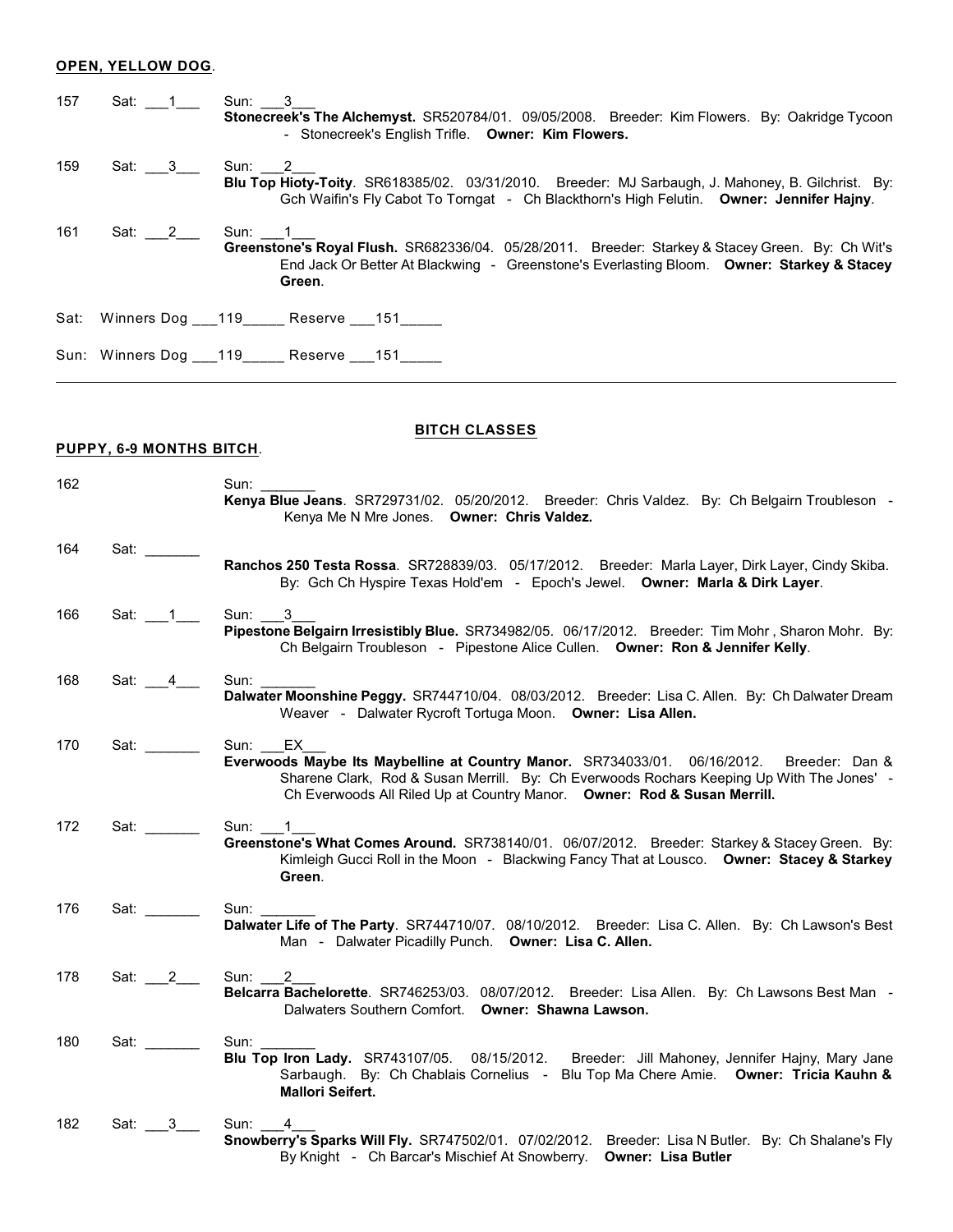## **OPEN, YELLOW DOG**.

| 157 | Sat: 1____ Sun: 3___ | Stonecreek's The Alchemyst. SR520784/01. 09/05/2008. Breeder: Kim Flowers. By: Oakridge Tycoon<br>- Stonecreek's English Trifle. Owner: Kim Flowers.                                                    |
|-----|----------------------|---------------------------------------------------------------------------------------------------------------------------------------------------------------------------------------------------------|
| 159 |                      | Blu Top Hioty-Toity. SR618385/02. 03/31/2010. Breeder: MJ Sarbaugh, J. Mahoney, B. Gilchrist. By:<br>Gch Waifin's Fly Cabot To Torngat - Ch Blackthorn's High Felutin. Owner: Jennifer Hajny.           |
| 161 | Sat: 2 Sun: 1        | Greenstone's Royal Flush. SR682336/04. 05/28/2011. Breeder: Starkey & Stacey Green. By: Ch Wit's<br>End Jack Or Better At Blackwing - Greenstone's Everlasting Bloom. Owner: Starkey & Stacey<br>Green. |
|     |                      | Sat: Winners Dog 119 Reserve 151                                                                                                                                                                        |
|     |                      | Sun: Winners Dog ___ 119 ______ Reserve ___ 151 _____                                                                                                                                                   |

# **BITCH CLASSES**

# **PUPPY, 6-9 MONTHS BITCH**.

| 162 |                                                                          | Sun: $\overline{\phantom{a}}$<br>Kenya Blue Jeans. SR729731/02. 05/20/2012. Breeder: Chris Valdez. By: Ch Belgairn Troubleson -<br>Kenya Me N Mre Jones. Owner: Chris Valdez.                                                                                               |
|-----|--------------------------------------------------------------------------|-----------------------------------------------------------------------------------------------------------------------------------------------------------------------------------------------------------------------------------------------------------------------------|
| 164 | Sat:                                                                     | Ranchos 250 Testa Rossa. SR728839/03. 05/17/2012. Breeder: Marla Layer, Dirk Layer, Cindy Skiba.<br>By: Gch Ch Hyspire Texas Hold'em - Epoch's Jewel. Owner: Marla & Dirk Layer.                                                                                            |
| 166 | Sat: $1$                                                                 | Sun: 3<br>Pipestone Belgairn Irresistibly Blue. SR734982/05. 06/17/2012. Breeder: Tim Mohr, Sharon Mohr. By:<br>Ch Belgairn Troubleson - Pipestone Alice Cullen. Owner: Ron & Jennifer Kelly.                                                                               |
| 168 | Sat: $4$                                                                 | Sun:<br>Dalwater Moonshine Peggy. SR744710/04. 08/03/2012. Breeder: Lisa C. Allen. By: Ch Dalwater Dream<br>Weaver - Dalwater Rycroft Tortuga Moon. Owner: Lisa Allen.                                                                                                      |
| 170 | Sat: $\frac{1}{\sqrt{1-\frac{1}{2}}\cdot\frac{1}{\sqrt{1-\frac{1}{2}}}}$ | Sun: EX<br>Everwoods Maybe Its Maybelline at Country Manor. SR734033/01. 06/16/2012. Breeder: Dan &<br>Sharene Clark, Rod & Susan Merrill. By: Ch Everwoods Rochars Keeping Up With The Jones' -<br>Ch Everwoods All Riled Up at Country Manor. Owner: Rod & Susan Merrill. |
| 172 | Sat:                                                                     | Sun: 1<br>Greenstone's What Comes Around. SR738140/01. 06/07/2012. Breeder: Starkey & Stacey Green. By:<br>Kimleigh Gucci Roll in the Moon - Blackwing Fancy That at Lousco. Owner: Stacey & Starkey<br>Green.                                                              |
| 176 | Sat:                                                                     | Sun:<br>Dalwater Life of The Party. SR744710/07. 08/10/2012. Breeder: Lisa C. Allen. By: Ch Lawson's Best<br>Man - Dalwater Picadilly Punch. Owner: Lisa C. Allen.                                                                                                          |
| 178 | Sat: 2                                                                   | Sun: 2<br>Belcarra Bachelorette. SR746253/03. 08/07/2012. Breeder: Lisa Allen. By: Ch Lawsons Best Man -<br>Dalwaters Southern Comfort. Owner: Shawna Lawson.                                                                                                               |
| 180 | Sat: _______                                                             | Sun:<br>Blu Top Iron Lady. SR743107/05. 08/15/2012. Breeder: Jill Mahoney, Jennifer Hajny, Mary Jane<br>Sarbaugh. By: Ch Chablais Cornelius - Blu Top Ma Chere Amie. Owner: Tricia Kauhn &<br><b>Mallori Seifert.</b>                                                       |
| 182 | Sat: 3                                                                   | Sun:<br>4<br>Snowberry's Sparks Will Fly. SR747502/01. 07/02/2012. Breeder: Lisa N Butler. By: Ch Shalane's Fly<br>By Knight - Ch Barcar's Mischief At Snowberry. Owner: Lisa Butler                                                                                        |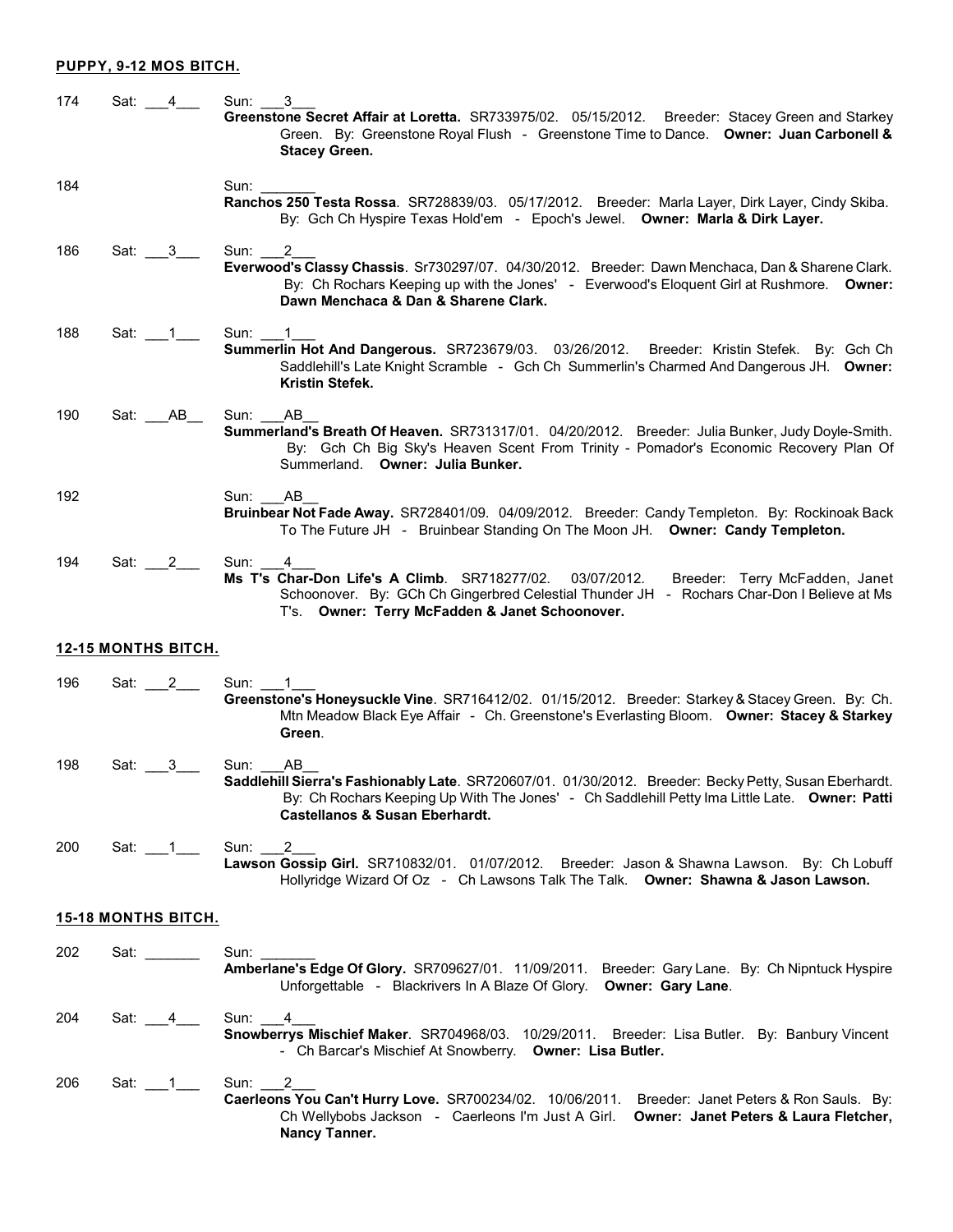## **PUPPY, 9-12 MOS BITCH.**

| 174 | Sat: 4                                                | 3<br>Sun:<br>Greenstone Secret Affair at Loretta. SR733975/02. 05/15/2012. Breeder: Stacey Green and Starkey<br>Green. By: Greenstone Royal Flush - Greenstone Time to Dance. Owner: Juan Carbonell &<br><b>Stacey Green.</b>                                     |
|-----|-------------------------------------------------------|-------------------------------------------------------------------------------------------------------------------------------------------------------------------------------------------------------------------------------------------------------------------|
| 184 |                                                       | Sun:<br>Ranchos 250 Testa Rossa. SR728839/03. 05/17/2012. Breeder: Marla Layer, Dirk Layer, Cindy Skiba.<br>By: Gch Ch Hyspire Texas Hold'em - Epoch's Jewel. Owner: Marla & Dirk Layer.                                                                          |
| 186 | Sat: $\_\_3$                                          | Sun:<br>2<br>Everwood's Classy Chassis. Sr730297/07. 04/30/2012. Breeder: Dawn Menchaca, Dan & Sharene Clark.<br>By: Ch Rochars Keeping up with the Jones' - Everwood's Eloquent Girl at Rushmore. Owner:<br>Dawn Menchaca & Dan & Sharene Clark.                 |
| 188 | Sat: 1                                                | Sun:<br>Summerlin Hot And Dangerous. SR723679/03. 03/26/2012. Breeder: Kristin Stefek. By: Gch Ch<br>Saddlehill's Late Knight Scramble - Gch Ch Summerlin's Charmed And Dangerous JH. Owner:<br>Kristin Stefek.                                                   |
| 190 | AB<br>Sat:                                            | Sun:<br>AB.<br>Summerland's Breath Of Heaven. SR731317/01. 04/20/2012. Breeder: Julia Bunker, Judy Doyle-Smith.<br>By: Gch Ch Big Sky's Heaven Scent From Trinity - Pomador's Economic Recovery Plan Of<br>Summerland. Owner: Julia Bunker.                       |
| 192 |                                                       | Sun:<br>AB.<br>Bruinbear Not Fade Away. SR728401/09. 04/09/2012. Breeder: Candy Templeton. By: Rockinoak Back<br>To The Future JH - Bruinbear Standing On The Moon JH. Owner: Candy Templeton.                                                                    |
| 194 | Sat: 2                                                | Sun:<br>4<br>Ms T's Char-Don Life's A Climb. SR718277/02.<br>03/07/2012.<br>Breeder: Terry McFadden, Janet<br>Schoonover. By: GCh Ch Gingerbred Celestial Thunder JH - Rochars Char-Don I Believe at Ms<br>T's. Owner: Terry McFadden & Janet Schoonover.         |
|     | <b>12-15 MONTHS BITCH.</b>                            |                                                                                                                                                                                                                                                                   |
| 196 | Sat: 2                                                | Sun:<br>Greenstone's Honeysuckle Vine. SR716412/02. 01/15/2012. Breeder: Starkey & Stacey Green. By: Ch.<br>Mtn Meadow Black Eye Affair - Ch. Greenstone's Everlasting Bloom. Owner: Stacey & Starkey<br>Green.                                                   |
| 198 | Sat: 3                                                | Sun:<br>AB<br>Saddlehill Sierra's Fashionably Late. SR720607/01. 01/30/2012. Breeder: Becky Petty, Susan Eberhardt.<br>By: Ch Rochars Keeping Up With The Jones' - Ch Saddlehill Petty Ima Little Late. Owner: Patti<br><b>Castellanos &amp; Susan Eberhardt.</b> |
| 200 | Sat: 1                                                | Sun:<br>2<br>Lawson Gossip Girl. SR710832/01. 01/07/2012. Breeder: Jason & Shawna Lawson. By: Ch Lobuff<br>Hollyridge Wizard Of Oz - Ch Lawsons Talk The Talk. Owner: Shawna & Jason Lawson.                                                                      |
|     | <b>15-18 MONTHS BITCH.</b>                            |                                                                                                                                                                                                                                                                   |
| 202 | Sat: $\frac{1}{\sqrt{1-\frac{1}{2}}\cdot\frac{1}{2}}$ | Sun:<br>Amberlane's Edge Of Glory. SR709627/01. 11/09/2011. Breeder: Gary Lane. By: Ch Nipntuck Hyspire<br>Unforgettable - Blackrivers In A Blaze Of Glory. Owner: Gary Lane.                                                                                     |
| 204 | Sat: $4$                                              | Sun:<br>4<br>Snowberrys Mischief Maker. SR704968/03. 10/29/2011. Breeder: Lisa Butler. By: Banbury Vincent<br>- Ch Barcar's Mischief At Snowberry. Owner: Lisa Butler.                                                                                            |
| 206 | Sat: $1$                                              | Sun: 2<br>Caerleons You Can't Hurry Love. SR700234/02. 10/06/2011. Breeder: Janet Peters & Ron Sauls. By:<br>Ch Wellybobs Jackson - Caerleons I'm Just A Girl. Owner: Janet Peters & Laura Fletcher,<br>Nancy Tanner.                                             |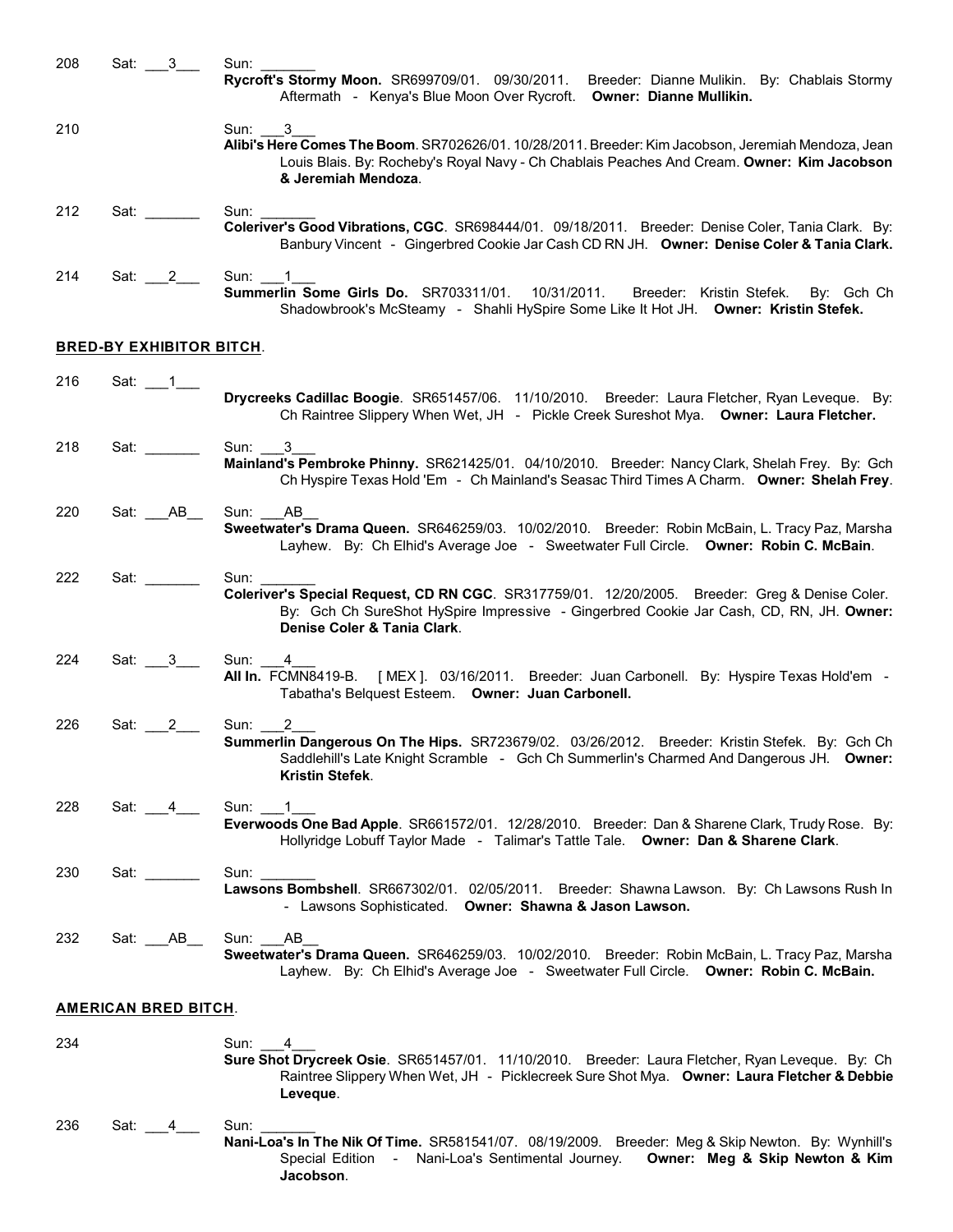| 208 | Sat: $3$                                                                                                                                                                                                                       | Sun:                                                                                                                                                                                                                             |
|-----|--------------------------------------------------------------------------------------------------------------------------------------------------------------------------------------------------------------------------------|----------------------------------------------------------------------------------------------------------------------------------------------------------------------------------------------------------------------------------|
|     |                                                                                                                                                                                                                                | Rycroft's Stormy Moon. SR699709/01. 09/30/2011.<br>Breeder: Dianne Mulikin. By: Chablais Stormy<br>Aftermath - Kenya's Blue Moon Over Rycroft. Owner: Dianne Mullikin.                                                           |
| 210 |                                                                                                                                                                                                                                | Sun: 3<br>Alibi's Here Comes The Boom. SR702626/01. 10/28/2011. Breeder: Kim Jacobson, Jeremiah Mendoza, Jean<br>Louis Blais. By: Rocheby's Royal Navy - Ch Chablais Peaches And Cream. Owner: Kim Jacobson                      |
|     |                                                                                                                                                                                                                                | & Jeremiah Mendoza.                                                                                                                                                                                                              |
| 212 | Sat: will be a set of the set of the set of the set of the set of the set of the set of the set of the set of the set of the set of the set of the set of the set of the set of the set of the set of the set of the set of th | Sun:<br>Coleriver's Good Vibrations, CGC. SR698444/01. 09/18/2011. Breeder: Denise Coler, Tania Clark. By:<br>Banbury Vincent - Gingerbred Cookie Jar Cash CD RN JH. Owner: Denise Coler & Tania Clark.                          |
| 214 | Sat: 2                                                                                                                                                                                                                         | Sun: 1<br>Summerlin Some Girls Do. SR703311/01. 10/31/2011.<br>Breeder: Kristin Stefek.<br>By: Gch Ch<br>Shadowbrook's McSteamy - Shahli HySpire Some Like It Hot JH. Owner: Kristin Stefek.                                     |
|     | <b>BRED-BY EXHIBITOR BITCH.</b>                                                                                                                                                                                                |                                                                                                                                                                                                                                  |
| 216 |                                                                                                                                                                                                                                | Drycreeks Cadillac Boogie. SR651457/06. 11/10/2010. Breeder: Laura Fletcher, Ryan Leveque. By:<br>Ch Raintree Slippery When Wet, JH - Pickle Creek Sureshot Mya. Owner: Laura Fletcher.                                          |
| 218 | Sat: will be a set of the set of the set of the set of the set of the set of the set of the set of the set of the set of the set of the set of the set of the set of the set of the set of the set of the set of the set of th | Sun:<br>3<br>Mainland's Pembroke Phinny. SR621425/01. 04/10/2010. Breeder: Nancy Clark, Shelah Frey. By: Gch<br>Ch Hyspire Texas Hold 'Em - Ch Mainland's Seasac Third Times A Charm. Owner: Shelah Frey.                        |
| 220 | Sat: ABD                                                                                                                                                                                                                       | AB<br>Sun:<br>Sweetwater's Drama Queen. SR646259/03. 10/02/2010. Breeder: Robin McBain, L. Tracy Paz, Marsha<br>Layhew. By: Ch Elhid's Average Joe - Sweetwater Full Circle. Owner: Robin C. McBain.                             |
| 222 | Sat: _______                                                                                                                                                                                                                   | Sun:<br>Coleriver's Special Request, CD RN CGC. SR317759/01. 12/20/2005. Breeder: Greg & Denise Coler.<br>By: Gch Ch SureShot HySpire Impressive - Gingerbred Cookie Jar Cash, CD, RN, JH. Owner:<br>Denise Coler & Tania Clark. |
| 224 | Sat: 3                                                                                                                                                                                                                         | Sun: 4<br>All In. FCMN8419-B. [MEX]. 03/16/2011. Breeder: Juan Carbonell. By: Hyspire Texas Hold'em -<br>Tabatha's Belquest Esteem. Owner: Juan Carbonell.                                                                       |
| 226 | Sat: 2                                                                                                                                                                                                                         | Sun:<br>2<br>Summerlin Dangerous On The Hips. SR723679/02. 03/26/2012. Breeder: Kristin Stefek. By: Gch Ch<br>Saddlehill's Late Knight Scramble - Gch Ch Summerlin's Charmed And Dangerous JH. Owner:<br>Kristin Stefek.         |
| 228 | Sat: 4                                                                                                                                                                                                                         | Sun: 1<br>Everwoods One Bad Apple. SR661572/01. 12/28/2010. Breeder: Dan & Sharene Clark, Trudy Rose. By:<br>Hollyridge Lobuff Taylor Made - Talimar's Tattle Tale. Owner: Dan & Sharene Clark.                                  |
| 230 | Sat: will be a set of the set of the set of the set of the set of the set of the set of the set of the set of the set of the set of the set of the set of the set of the set of the set of the set of the set of the set of th | Sun: $\_\_$<br>Lawsons Bombshell. SR667302/01. 02/05/2011. Breeder: Shawna Lawson. By: Ch Lawsons Rush In<br>- Lawsons Sophisticated. Owner: Shawna & Jason Lawson.                                                              |
| 232 | Sat: $AB_$                                                                                                                                                                                                                     | Sun: AB<br>Sweetwater's Drama Queen. SR646259/03. 10/02/2010. Breeder: Robin McBain, L. Tracy Paz, Marsha<br>Layhew. By: Ch Elhid's Average Joe - Sweetwater Full Circle. Owner: Robin C. McBain.                                |
|     | <b>AMERICAN BRED BITCH.</b>                                                                                                                                                                                                    |                                                                                                                                                                                                                                  |
| 234 |                                                                                                                                                                                                                                | Sun: 4<br>Sure Shot Drycreek Osie. SR651457/01. 11/10/2010. Breeder: Laura Fletcher, Ryan Leveque. By: Ch<br>Raintree Slippery When Wet, JH - Picklecreek Sure Shot Mya. Owner: Laura Fletcher & Debbie<br>Leveque.              |
| 236 | Sat: 4                                                                                                                                                                                                                         | Sun:<br>Nani-Loa's In The Nik Of Time. SR581541/07. 08/19/2009. Breeder: Meg & Skip Newton. By: Wynhill's<br>Owner: Meg & Skip Newton & Kim<br>Special Edition - Nani-Loa's Sentimental Journey.<br>Jacobson.                    |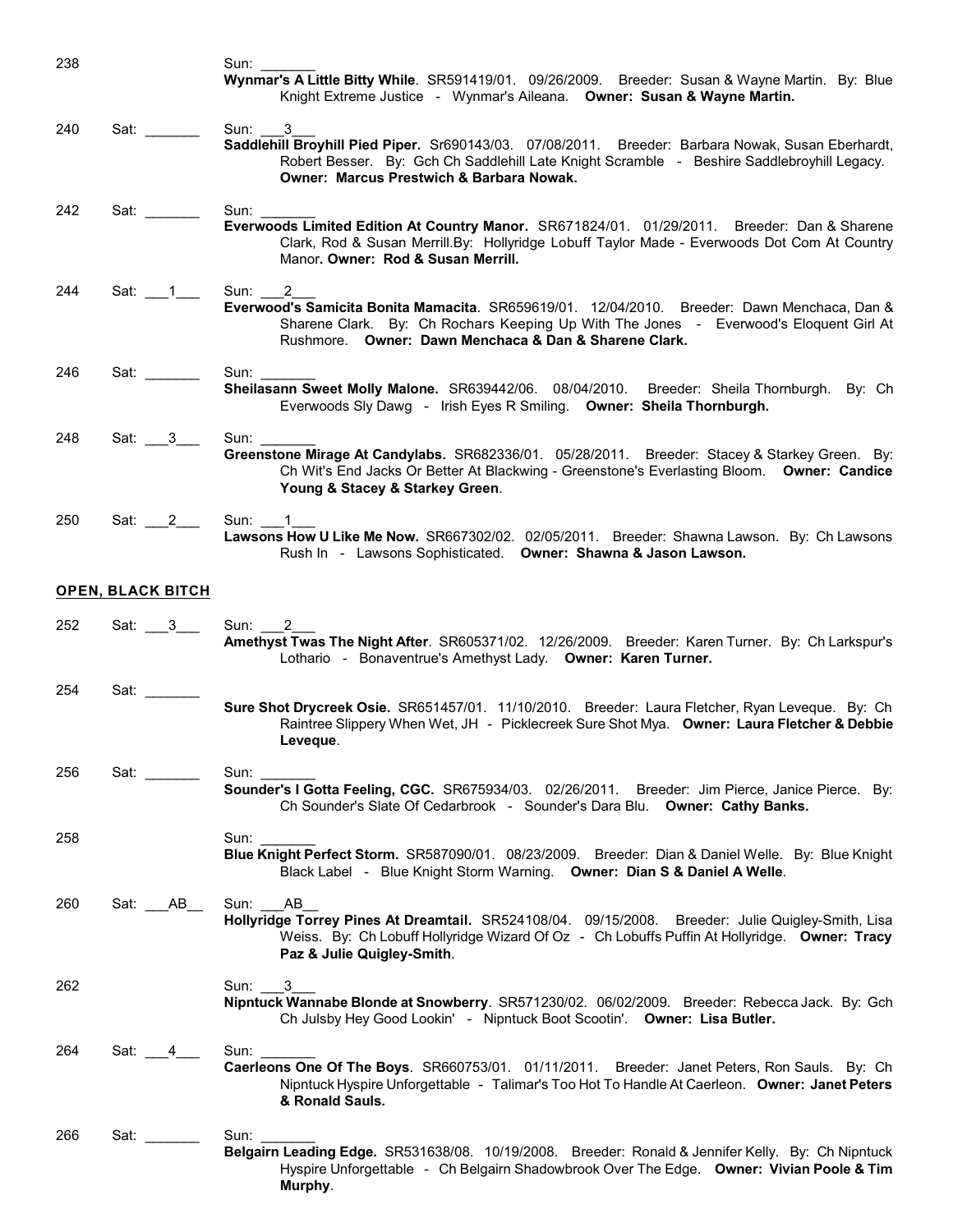| 238 |                                                                                                                                                                                                                                | Sun: $\_\_$<br>Wynmar's A Little Bitty While. SR591419/01. 09/26/2009. Breeder: Susan & Wayne Martin. By: Blue<br>Knight Extreme Justice - Wynmar's Aileana. Owner: Susan & Wayne Martin.                                                               |
|-----|--------------------------------------------------------------------------------------------------------------------------------------------------------------------------------------------------------------------------------|---------------------------------------------------------------------------------------------------------------------------------------------------------------------------------------------------------------------------------------------------------|
| 240 | Sat: will be a set of the set of the set of the set of the set of the set of the set of the set of the set of the set of the set of the set of the set of the set of the set of the set of the set of the set of the set of th | Sun: 3<br>Saddlehill Broyhill Pied Piper. Sr690143/03. 07/08/2011. Breeder: Barbara Nowak, Susan Eberhardt,<br>Robert Besser. By: Gch Ch Saddlehill Late Knight Scramble - Beshire Saddlebroyhill Legacy.<br>Owner: Marcus Prestwich & Barbara Nowak.   |
| 242 | Sat: $\frac{1}{\sqrt{1-\frac{1}{2}}\cdot\frac{1}{\sqrt{1-\frac{1}{2}}}}$                                                                                                                                                       | Sun:<br>Everwoods Limited Edition At Country Manor. SR671824/01. 01/29/2011. Breeder: Dan & Sharene<br>Clark, Rod & Susan Merrill.By: Hollyridge Lobuff Taylor Made - Everwoods Dot Com At Country<br>Manor. Owner: Rod & Susan Merrill.                |
| 244 | Sat: $\_\_1$                                                                                                                                                                                                                   | Sun: 2<br>Everwood's Samicita Bonita Mamacita. SR659619/01. 12/04/2010. Breeder: Dawn Menchaca, Dan &<br>Sharene Clark. By: Ch Rochars Keeping Up With The Jones - Everwood's Eloquent Girl At<br>Rushmore. Owner: Dawn Menchaca & Dan & Sharene Clark. |
| 246 | Sat: _______                                                                                                                                                                                                                   | Sun: $\_\_$<br>Sheilasann Sweet Molly Malone. SR639442/06. 08/04/2010. Breeder: Sheila Thornburgh. By: Ch<br>Everwoods Sly Dawg - Irish Eyes R Smiling. Owner: Sheila Thornburgh.                                                                       |
| 248 | Sat: 3                                                                                                                                                                                                                         | Sun:<br>Greenstone Mirage At Candylabs. SR682336/01. 05/28/2011. Breeder: Stacey & Starkey Green. By:<br>Ch Wit's End Jacks Or Better At Blackwing - Greenstone's Everlasting Bloom. Owner: Candice<br>Young & Stacey & Starkey Green.                  |
| 250 | Sat: $2$                                                                                                                                                                                                                       | Sun: 1<br>Lawsons How U Like Me Now. SR667302/02. 02/05/2011. Breeder: Shawna Lawson. By: Ch Lawsons<br>Rush In - Lawsons Sophisticated. Owner: Shawna & Jason Lawson.                                                                                  |
|     | <b>OPEN, BLACK BITCH</b>                                                                                                                                                                                                       |                                                                                                                                                                                                                                                         |
| 252 | Sat: ___3___                                                                                                                                                                                                                   | Sun: 2<br>Amethyst Twas The Night After. SR605371/02. 12/26/2009. Breeder: Karen Turner. By: Ch Larkspur's<br>Lothario - Bonaventrue's Amethyst Lady. Owner: Karen Turner.                                                                              |
| 254 | Sat: $\overline{\phantom{a}}$                                                                                                                                                                                                  | Sure Shot Drycreek Osie. SR651457/01. 11/10/2010. Breeder: Laura Fletcher, Ryan Leveque. By: Ch<br>Raintree Slippery When Wet, JH - Picklecreek Sure Shot Mya. Owner: Laura Fletcher & Debbie<br>Leveque.                                               |
| 256 | Sat: www.com                                                                                                                                                                                                                   | Sun:<br>Sounder's I Gotta Feeling, CGC. SR675934/03. 02/26/2011. Breeder: Jim Pierce, Janice Pierce. By:<br>Ch Sounder's Slate Of Cedarbrook - Sounder's Dara Blu. Owner: Cathy Banks.                                                                  |
| 258 |                                                                                                                                                                                                                                | Sun:<br>Blue Knight Perfect Storm. SR587090/01. 08/23/2009. Breeder: Dian & Daniel Welle. By: Blue Knight<br>Black Label - Blue Knight Storm Warning. Owner: Dian S & Daniel A Welle.                                                                   |
| 260 | Sat: AB                                                                                                                                                                                                                        | Sun: AB<br>Hollyridge Torrey Pines At Dreamtail. SR524108/04. 09/15/2008. Breeder: Julie Quigley-Smith, Lisa<br>Weiss. By: Ch Lobuff Hollyridge Wizard Of Oz - Ch Lobuffs Puffin At Hollyridge. Owner: Tracy<br>Paz & Julie Quigley-Smith.              |
| 262 |                                                                                                                                                                                                                                | Sun:<br>3<br>Nipntuck Wannabe Blonde at Snowberry. SR571230/02. 06/02/2009. Breeder: Rebecca Jack. By: Gch<br>Ch Julsby Hey Good Lookin' - Nipntuck Boot Scootin'. Owner: Lisa Butler.                                                                  |
| 264 | Sat: 4                                                                                                                                                                                                                         | Sun:<br>Caerleons One Of The Boys. SR660753/01. 01/11/2011. Breeder: Janet Peters, Ron Sauls. By: Ch<br>Nipntuck Hyspire Unforgettable - Talimar's Too Hot To Handle At Caerleon. Owner: Janet Peters<br>& Ronald Sauls.                                |
| 266 | Sat: _______                                                                                                                                                                                                                   | Sun:<br>Belgairn Leading Edge. SR531638/08. 10/19/2008. Breeder: Ronald & Jennifer Kelly. By: Ch Nipntuck<br>Hyspire Unforgettable - Ch Belgairn Shadowbrook Over The Edge. Owner: Vivian Poole & Tim<br>Murphy.                                        |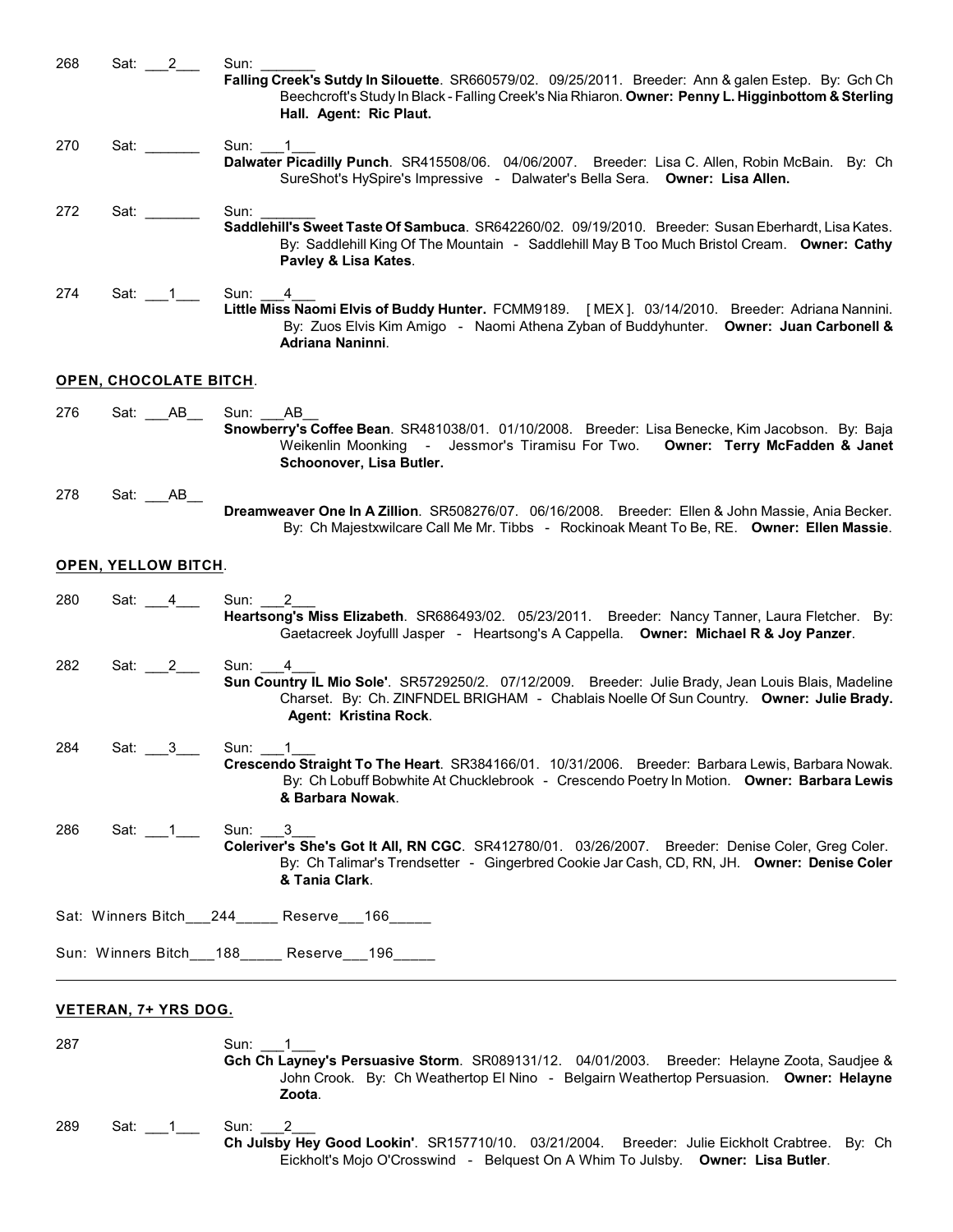| 268 | Sat: 2                        | Sun:<br>Falling Creek's Sutdy In Silouette. SR660579/02. 09/25/2011. Breeder: Ann & galen Estep. By: Gch Ch<br>Beechcroft's Study In Black - Falling Creek's Nia Rhiaron. Owner: Penny L. Higginbottom & Sterling<br>Hall. Agent: Ric Plaut. |
|-----|-------------------------------|----------------------------------------------------------------------------------------------------------------------------------------------------------------------------------------------------------------------------------------------|
| 270 | Sat: www.                     | Sun:<br>Dalwater Picadilly Punch. SR415508/06. 04/06/2007. Breeder: Lisa C. Allen, Robin McBain. By: Ch<br>SureShot's HySpire's Impressive - Dalwater's Bella Sera. Owner: Lisa Allen.                                                       |
| 272 | Sat: www.                     | Sun:<br>Saddlehill's Sweet Taste Of Sambuca. SR642260/02. 09/19/2010. Breeder: Susan Eberhardt, Lisa Kates.<br>By: Saddlehill King Of The Mountain - Saddlehill May B Too Much Bristol Cream. Owner: Cathy<br>Pavley & Lisa Kates.           |
| 274 | Sat: 1                        | Sun:<br>4<br>Little Miss Naomi Elvis of Buddy Hunter. FCMM9189. [MEX]. 03/14/2010. Breeder: Adriana Nannini.<br>By: Zuos Elvis Kim Amigo - Naomi Athena Zyban of Buddyhunter. Owner: Juan Carbonell &<br>Adriana Naninni.                    |
|     | <b>OPEN, CHOCOLATE BITCH.</b> |                                                                                                                                                                                                                                              |
| 276 | Sat: AB                       | Sun:<br>AB.<br>Snowberry's Coffee Bean. SR481038/01. 01/10/2008. Breeder: Lisa Benecke, Kim Jacobson. By: Baja<br>Weikenlin Moonking - Jessmor's Tiramisu For Two. Owner: Terry McFadden & Janet<br>Schoonover, Lisa Butler.                 |
| 278 | Sat: AB                       | Dreamweaver One In A Zillion. SR508276/07. 06/16/2008. Breeder: Ellen & John Massie, Ania Becker.<br>By: Ch Majestxwilcare Call Me Mr. Tibbs - Rockinoak Meant To Be, RE. Owner: Ellen Massie.                                               |
|     | <b>OPEN, YELLOW BITCH.</b>    |                                                                                                                                                                                                                                              |
| 280 | $4 \quad$<br>Sat:             | Sun:<br>2<br>Heartsong's Miss Elizabeth. SR686493/02. 05/23/2011. Breeder: Nancy Tanner, Laura Fletcher. By:<br>Gaetacreek Joyfulll Jasper - Heartsong's A Cappella. Owner: Michael R & Joy Panzer.                                          |
| 282 | Sat: 2                        | Sun:<br>4<br>Sun Country IL Mio Sole'. SR5729250/2. 07/12/2009. Breeder: Julie Brady, Jean Louis Blais, Madeline<br>Charset. By: Ch. ZINFNDEL BRIGHAM - Chablais Noelle Of Sun Country. Owner: Julie Brady.<br>Agent: Kristina Rock.         |
| 284 | Sat:<br>$_{-3}$               | Sun:<br>Crescendo Straight To The Heart. SR384166/01. 10/31/2006. Breeder: Barbara Lewis, Barbara Nowak.<br>By: Ch Lobuff Bobwhite At Chucklebrook - Crescendo Poetry In Motion. Owner: Barbara Lewis<br>& Barbara Nowak.                    |
| 286 | Sat: $\_\_1$                  | Sun: 3<br>Coleriver's She's Got It All, RN CGC. SR412780/01. 03/26/2007. Breeder: Denise Coler, Greg Coler.<br>By: Ch Talimar's Trendsetter - Gingerbred Cookie Jar Cash, CD, RN, JH. Owner: Denise Coler<br>& Tania Clark.                  |
|     |                               | Sat: Winners Bitch___244_____ Reserve___166_____                                                                                                                                                                                             |
|     |                               | Sun: Winners Bitch___188_____ Reserve___196_____                                                                                                                                                                                             |
|     | VETERAN, 7+ YRS DOG.          |                                                                                                                                                                                                                                              |
| 287 |                               | Sun: 1<br>Gch Ch Layney's Persuasive Storm. SR089131/12. 04/01/2003. Breeder: Helayne Zoota, Saudjee &<br>John Crook. By: Ch Weathertop El Nino - Belgairn Weathertop Persuasion. Owner: Helayne<br>Zoota.                                   |
| 289 | Sat: 1                        | 2<br>Sun:<br>Ch Julsby Hey Good Lookin'. SR157710/10. 03/21/2004. Breeder: Julie Eickholt Crabtree. By: Ch<br>Eickholt's Mojo O'Crosswind - Belquest On A Whim To Julsby. Owner: Lisa Butler.                                                |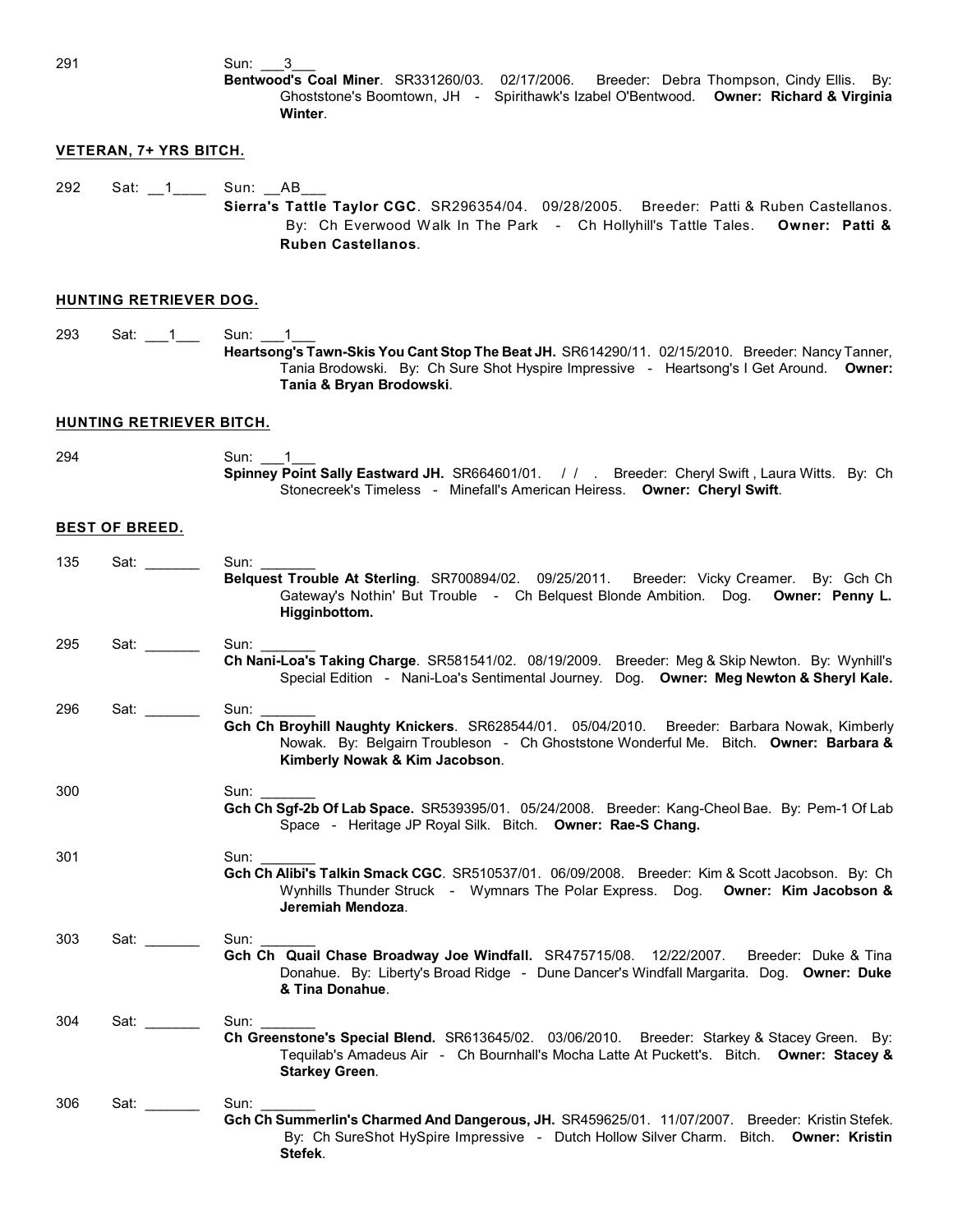291 Sun: 3

**Bentwood's Coal Miner**. SR331260/03. 02/17/2006. Breeder: Debra Thompson, Cindy Ellis. By: Ghoststone's Boomtown, JH - Spirithawk's Izabel O'Bentwood. **Owner: Richard & Virginia Winter**.

## **VETERAN, 7+ YRS BITCH.**

292 Sat: 1\_\_\_\_\_ Sun: \_\_AB\_

**Sierra's Tattle Taylor CGC**. SR296354/04. 09/28/2005. Breeder: Patti & Ruben Castellanos. By: Ch Everwood Walk In The Park - Ch Hollyhill's Tattle Tales. **Owner: Patti & Ruben Castellanos**.

## **HUNTING RETRIEVER DOG.**

293 Sat: 1\_\_\_1\_\_\_ Sun: 1\_\_1\_ **Heartsong's Tawn-Skis You Cant Stop The Beat JH.** SR614290/11. 02/15/2010. Breeder: Nancy Tanner, Tania Brodowski. By: Ch Sure Shot Hyspire Impressive - Heartsong's I Get Around. **Owner: Tania & Bryan Brodowski**.

### **HUNTING RETRIEVER BITCH.**

294 Sun: 1 **Spinney Point Sally Eastward JH.** SR664601/01. / / . Breeder: Cheryl Swift , Laura Witts. By: Ch Stonecreek's Timeless - Minefall's American Heiress. **Owner: Cheryl Swift**.

#### **BEST OF BREED.**

| 135 | Sat:      | Sun:                                                                                                                                                                                                                          |
|-----|-----------|-------------------------------------------------------------------------------------------------------------------------------------------------------------------------------------------------------------------------------|
|     |           | Belquest Trouble At Sterling. SR700894/02. 09/25/2011. Breeder: Vicky Creamer. By: Gch Ch<br>Gateway's Nothin' But Trouble - Ch Belquest Blonde Ambition. Dog. Owner: Penny L.<br>Higginbottom.                               |
| 295 | Sat: www. | Sun:<br>Ch Nani-Loa's Taking Charge. SR581541/02. 08/19/2009. Breeder: Meg & Skip Newton. By: Wynhill's<br>Special Edition - Nani-Loa's Sentimental Journey. Dog. Owner: Meg Newton & Sheryl Kale.                            |
| 296 | Sat:      | Sun:<br>Gch Ch Broyhill Naughty Knickers. SR628544/01. 05/04/2010. Breeder: Barbara Nowak, Kimberly<br>Nowak. By: Belgairn Troubleson - Ch Ghoststone Wonderful Me. Bitch. Owner: Barbara &<br>Kimberly Nowak & Kim Jacobson. |
| 300 |           | Sun: Sun<br>Gch Ch Sgf-2b Of Lab Space. SR539395/01. 05/24/2008. Breeder: Kang-Cheol Bae. By: Pem-1 Of Lab<br>Space - Heritage JP Royal Silk. Bitch. Owner: Rae-S Chang.                                                      |
| 301 |           | Sun:<br>Gch Ch Alibi's Talkin Smack CGC. SR510537/01. 06/09/2008. Breeder: Kim & Scott Jacobson. By: Ch<br>Wynhills Thunder Struck - Wymnars The Polar Express. Dog. Owner: Kim Jacobson &<br>Jeremiah Mendoza.               |
| 303 | Sat:      | Sun:<br>Gch Ch Quail Chase Broadway Joe Windfall. SR475715/08. 12/22/2007. Breeder: Duke & Tina<br>Donahue. By: Liberty's Broad Ridge - Dune Dancer's Windfall Margarita. Dog. Owner: Duke<br>& Tina Donahue.                 |
| 304 | Sat: www. | Sun:<br>Ch Greenstone's Special Blend. SR613645/02. 03/06/2010. Breeder: Starkey & Stacey Green. By:<br>Tequilab's Amadeus Air - Ch Bournhall's Mocha Latte At Puckett's. Bitch. Owner: Stacey &<br><b>Starkey Green.</b>     |
| 306 | Sat: www. | Sun:<br>Gch Ch Summerlin's Charmed And Dangerous, JH. SR459625/01. 11/07/2007. Breeder: Kristin Stefek.<br>By: Ch SureShot HySpire Impressive - Dutch Hollow Silver Charm. Bitch. Owner: Kristin<br>Stefek.                   |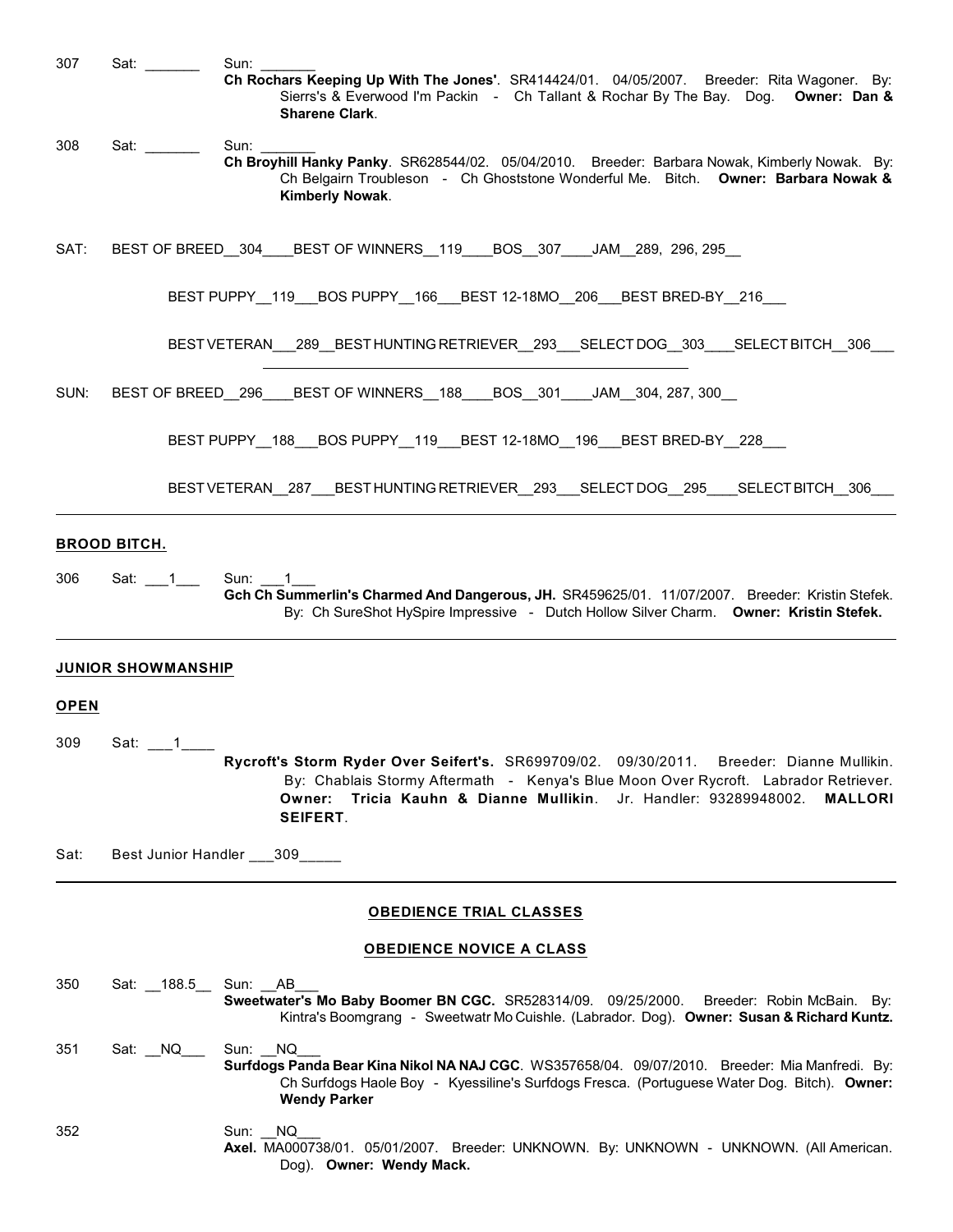| 307         | Sat: _______                                                                                                                                                                                                                   | Sun:                                                                                                                                                                                                                                                                                     |
|-------------|--------------------------------------------------------------------------------------------------------------------------------------------------------------------------------------------------------------------------------|------------------------------------------------------------------------------------------------------------------------------------------------------------------------------------------------------------------------------------------------------------------------------------------|
|             |                                                                                                                                                                                                                                | Ch Rochars Keeping Up With The Jones'. SR414424/01. 04/05/2007. Breeder: Rita Wagoner. By:<br>Sierrs's & Everwood I'm Packin - Ch Tallant & Rochar By The Bay. Dog. Owner: Dan &<br><b>Sharene Clark.</b>                                                                                |
| 308         | Sat: with the set of the set of the set of the set of the set of the set of the set of the set of the set of the set of the set of the set of the set of the set of the set of the set of the set of the set of the set of the | Sun:                                                                                                                                                                                                                                                                                     |
|             |                                                                                                                                                                                                                                | Ch Broyhill Hanky Panky. SR628544/02. 05/04/2010. Breeder: Barbara Nowak, Kimberly Nowak. By:<br>Ch Belgairn Troubleson - Ch Ghoststone Wonderful Me. Bitch. Owner: Barbara Nowak &<br>Kimberly Nowak.                                                                                   |
| SAT:        |                                                                                                                                                                                                                                | BEST OF BREED 304 BEST OF WINNERS 119 BOS 307 JAM 289, 296, 295                                                                                                                                                                                                                          |
|             |                                                                                                                                                                                                                                | BEST PUPPY_119_BOS PUPPY_166_BEST 12-18MO_206_BEST BRED-BY                     216                                                                                                                                                                                                       |
|             |                                                                                                                                                                                                                                | BESTVETERAN_289_BESTHUNTING RETRIEVER_293_SELECTDOG_303__SELECTBITCH 306                                                                                                                                                                                                                 |
| SUN:        |                                                                                                                                                                                                                                | BEST OF BREED 296 BEST OF WINNERS 188 BOS 301 JAM 304, 287, 300                                                                                                                                                                                                                          |
|             |                                                                                                                                                                                                                                | BEST PUPPY_188_BOS PUPPY_119_BEST 12-18MO_196_BEST BRED-BY_228__                                                                                                                                                                                                                         |
|             |                                                                                                                                                                                                                                | BESTVETERAN 287 BESTHUNTING RETRIEVER 293 SELECTDOG 295 SELECT BITCH 306                                                                                                                                                                                                                 |
|             | <b>BROOD BITCH.</b>                                                                                                                                                                                                            |                                                                                                                                                                                                                                                                                          |
| 306         | Sat: $\_\_1$                                                                                                                                                                                                                   | Sun: 1<br>Gch Ch Summerlin's Charmed And Dangerous, JH. SR459625/01. 11/07/2007. Breeder: Kristin Stefek.<br>By: Ch SureShot HySpire Impressive - Dutch Hollow Silver Charm. Owner: Kristin Stefek.                                                                                      |
|             |                                                                                                                                                                                                                                |                                                                                                                                                                                                                                                                                          |
| <b>OPEN</b> | <b>JUNIOR SHOWMANSHIP</b>                                                                                                                                                                                                      |                                                                                                                                                                                                                                                                                          |
| 309         | Sat: $-1$                                                                                                                                                                                                                      |                                                                                                                                                                                                                                                                                          |
|             |                                                                                                                                                                                                                                | Rycroft's Storm Ryder Over Seifert's. SR699709/02. 09/30/2011. Breeder: Dianne Mullikin.<br>By: Chablais Stormy Aftermath - Kenya's Blue Moon Over Rycroft. Labrador Retriever.<br>Owner: Tricia Kauhn & Dianne Mullikin. Jr. Handler: 93289948002.<br><b>MALLORI</b><br><b>SEIFERT.</b> |
| Sat:        |                                                                                                                                                                                                                                | Best Junior Handler ___309_____                                                                                                                                                                                                                                                          |
|             |                                                                                                                                                                                                                                | <b>OBEDIENCE TRIAL CLASSES</b>                                                                                                                                                                                                                                                           |
|             |                                                                                                                                                                                                                                | <b>OBEDIENCE NOVICE A CLASS</b>                                                                                                                                                                                                                                                          |
| 350         |                                                                                                                                                                                                                                | Sat: 188.5 Sun: AB<br>Sweetwater's Mo Baby Boomer BN CGC. SR528314/09. 09/25/2000.<br>Breeder: Robin McBain. By:<br>Kintra's Boomgrang - Sweetwatr Mo Cuishle. (Labrador. Dog). Owner: Susan & Richard Kuntz.                                                                            |
| 351         | Sat: NQ                                                                                                                                                                                                                        | Sun: NQ<br>Surfdogs Panda Bear Kina Nikol NA NAJ CGC. WS357658/04. 09/07/2010. Breeder: Mia Manfredi. By:<br>Ch Surfdogs Haole Boy - Kyessiline's Surfdogs Fresca. (Portuguese Water Dog. Bitch). Owner:<br><b>Wendy Parker</b>                                                          |
| 352         |                                                                                                                                                                                                                                | NQ.<br>Sun:<br>Axel. MA000738/01. 05/01/2007. Breeder: UNKNOWN. By: UNKNOWN - UNKNOWN. (All American.                                                                                                                                                                                    |

Dog). **Owner: Wendy Mack.**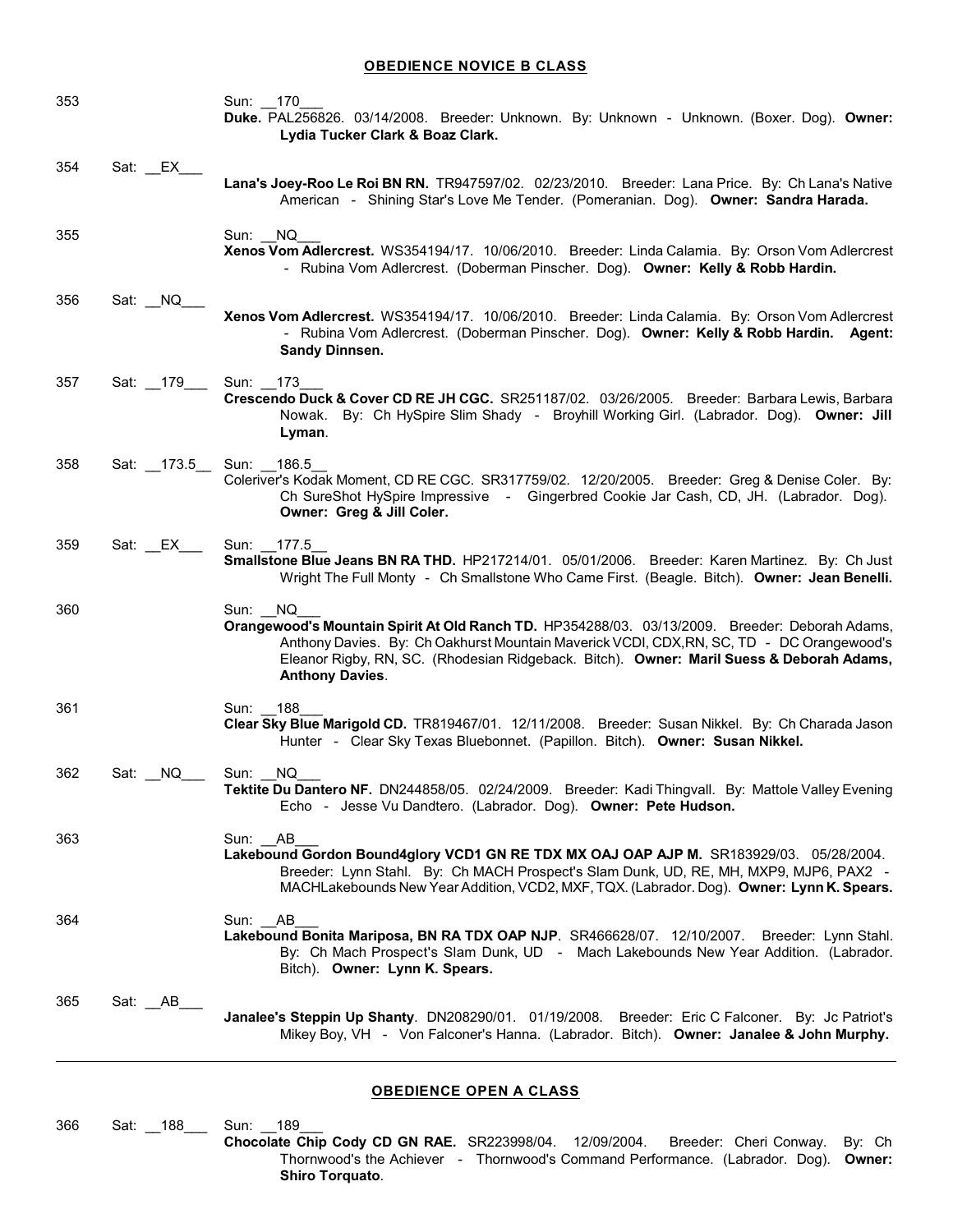# **OBEDIENCE NOVICE B CLASS**

| 353 |                       | Sun: 170<br>Duke. PAL256826. 03/14/2008. Breeder: Unknown. By: Unknown - Unknown. (Boxer. Dog). Owner:<br>Lydia Tucker Clark & Boaz Clark.                                                                                                                                                                                   |
|-----|-----------------------|------------------------------------------------------------------------------------------------------------------------------------------------------------------------------------------------------------------------------------------------------------------------------------------------------------------------------|
| 354 | Sat: EX               | Lana's Joey-Roo Le Roi BN RN. TR947597/02. 02/23/2010. Breeder: Lana Price. By: Ch Lana's Native<br>American - Shining Star's Love Me Tender. (Pomeranian. Dog). Owner: Sandra Harada.                                                                                                                                       |
| 355 |                       | Sun: NQ<br>Xenos Vom Adlercrest. WS354194/17. 10/06/2010. Breeder: Linda Calamia. By: Orson Vom Adlercrest<br>- Rubina Vom Adlercrest. (Doberman Pinscher. Dog). Owner: Kelly & Robb Hardin.                                                                                                                                 |
| 356 | Sat: NQ               | Xenos Vom Adlercrest. WS354194/17. 10/06/2010. Breeder: Linda Calamia. By: Orson Vom Adlercrest<br>- Rubina Vom Adlercrest. (Doberman Pinscher. Dog). Owner: Kelly & Robb Hardin. Agent:<br>Sandy Dinnsen.                                                                                                                   |
| 357 | Sat: 179____          | Sun: 173<br>Crescendo Duck & Cover CD RE JH CGC. SR251187/02. 03/26/2005. Breeder: Barbara Lewis, Barbara<br>Nowak. By: Ch HySpire Slim Shady - Broyhill Working Girl. (Labrador. Dog). Owner: Jill<br>Lyman.                                                                                                                |
| 358 | Sat: 173.5 Sun: 186.5 | Coleriver's Kodak Moment, CD RE CGC. SR317759/02. 12/20/2005. Breeder: Greg & Denise Coler. By:<br>Ch SureShot HySpire Impressive - Gingerbred Cookie Jar Cash, CD, JH. (Labrador. Dog).<br>Owner: Greg & Jill Coler.                                                                                                        |
| 359 |                       | Sun: 177.5<br>Smallstone Blue Jeans BN RA THD. HP217214/01. 05/01/2006. Breeder: Karen Martinez. By: Ch Just<br>Wright The Full Monty - Ch Smallstone Who Came First. (Beagle. Bitch). Owner: Jean Benelli.                                                                                                                  |
| 360 |                       | Sun: NQ<br>Orangewood's Mountain Spirit At Old Ranch TD. HP354288/03. 03/13/2009. Breeder: Deborah Adams,<br>Anthony Davies. By: Ch Oakhurst Mountain Maverick VCDI, CDX, RN, SC, TD - DC Orangewood's<br>Eleanor Rigby, RN, SC. (Rhodesian Ridgeback. Bitch). Owner: Maril Suess & Deborah Adams,<br><b>Anthony Davies.</b> |
| 361 |                       | Sun: 188<br>Clear Sky Blue Marigold CD. TR819467/01. 12/11/2008. Breeder: Susan Nikkel. By: Ch Charada Jason<br>Hunter - Clear Sky Texas Bluebonnet. (Papillon. Bitch). Owner: Susan Nikkel.                                                                                                                                 |
| 362 | Sat: NQ               | Sun: NQ<br>Tektite Du Dantero NF. DN244858/05. 02/24/2009. Breeder: Kadi Thingvall. By: Mattole Valley Evening<br>Echo - Jesse Vu Dandtero. (Labrador. Dog). Owner: Pete Hudson.                                                                                                                                             |
| 363 |                       | Sun: AB<br>Lakebound Gordon Bound4glory VCD1 GN RE TDX MX OAJ OAP AJP M. SR183929/03. 05/28/2004.<br>Breeder: Lynn Stahl. By: Ch MACH Prospect's Slam Dunk, UD, RE, MH, MXP9, MJP6, PAX2 -<br>MACHLakebounds New Year Addition, VCD2, MXF, TQX. (Labrador. Dog). Owner: Lynn K. Spears.                                      |
| 364 |                       | Sun: AB<br>Lakebound Bonita Mariposa, BN RA TDX OAP NJP. SR466628/07. 12/10/2007. Breeder: Lynn Stahl.<br>By: Ch Mach Prospect's Slam Dunk, UD - Mach Lakebounds New Year Addition. (Labrador.<br>Bitch). Owner: Lynn K. Spears.                                                                                             |
| 365 | Sat: _AB_             | Janalee's Steppin Up Shanty. DN208290/01. 01/19/2008. Breeder: Eric C Falconer. By: Jc Patriot's<br>Mikey Boy, VH - Von Falconer's Hanna. (Labrador. Bitch). Owner: Janalee & John Murphy.                                                                                                                                   |

# **OBEDIENCE OPEN A CLASS**

366 Sat: \_\_188\_\_\_ Sun: \_\_189\_\_\_

**Chocolate Chip Cody CD GN RAE.** SR223998/04. 12/09/2004. Breeder: Cheri Conway. By: Ch Thornwood's the Achiever - Thornwood's Command Performance. (Labrador. Dog). **Owner: Shiro Torquato**.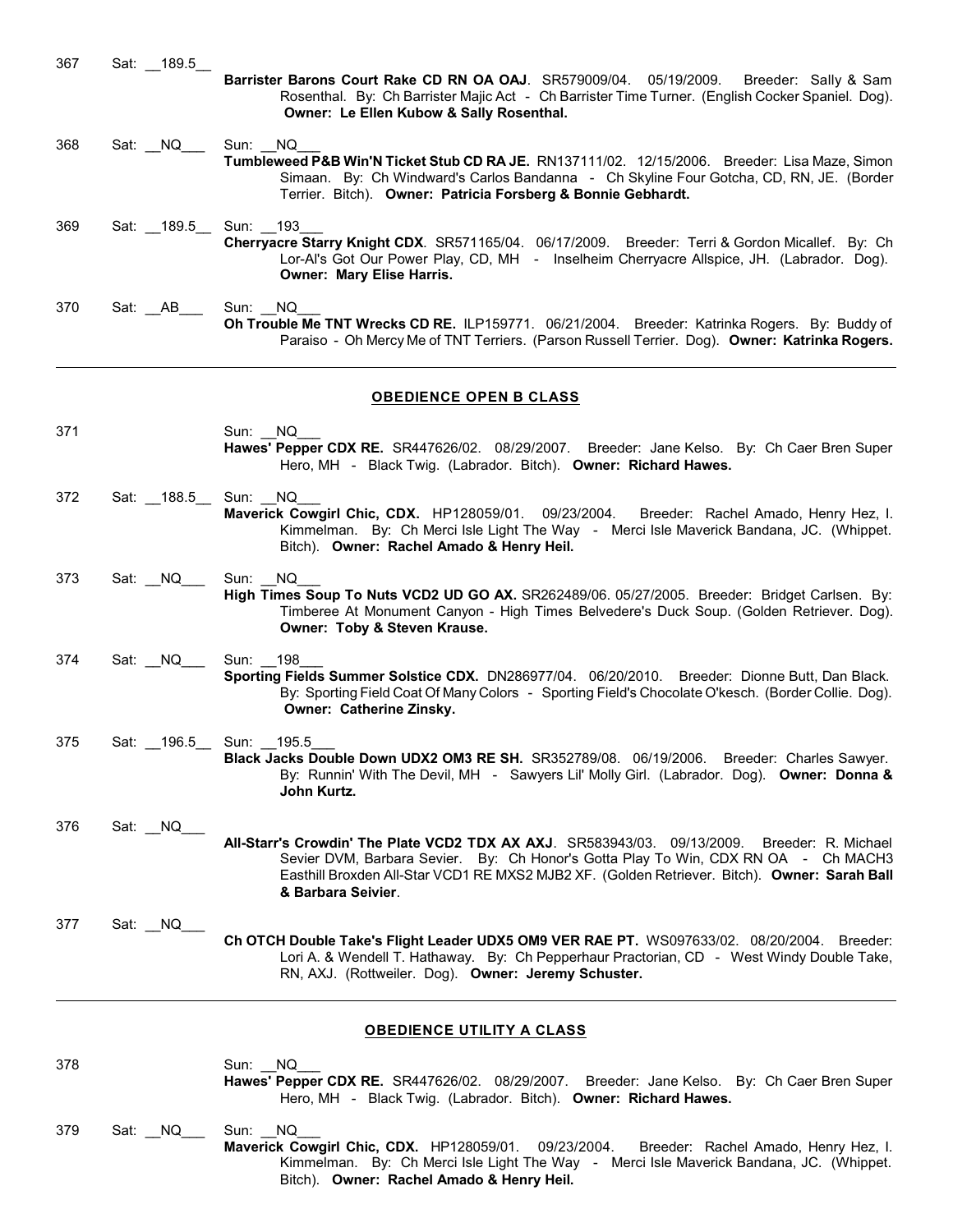| 367 | Sat: 189.5            | Barrister Barons Court Rake CD RN OA OAJ. SR579009/04. 05/19/2009.<br>Breeder: Sally & Sam<br>Rosenthal. By: Ch Barrister Majic Act - Ch Barrister Time Turner. (English Cocker Spaniel. Dog).<br>Owner: Le Ellen Kubow & Sally Rosenthal.                                                                  |
|-----|-----------------------|-------------------------------------------------------------------------------------------------------------------------------------------------------------------------------------------------------------------------------------------------------------------------------------------------------------|
| 368 | Sat: MQ               | Sun: NQ<br>Tumbleweed P&B Win'N Ticket Stub CD RA JE. RN137111/02. 12/15/2006. Breeder: Lisa Maze, Simon<br>Simaan. By: Ch Windward's Carlos Bandanna - Ch Skyline Four Gotcha, CD, RN, JE. (Border<br>Terrier. Bitch). Owner: Patricia Forsberg & Bonnie Gebhardt.                                         |
| 369 | Sat: 189.5 Sun: 193   | Cherryacre Starry Knight CDX. SR571165/04. 06/17/2009. Breeder: Terri & Gordon Micallef. By: Ch<br>Lor-Al's Got Our Power Play, CD, MH - Inselheim Cherryacre Allspice, JH. (Labrador. Dog).<br><b>Owner: Mary Elise Harris.</b>                                                                            |
| 370 | Sat: AB               | Sun: NQ<br>Oh Trouble Me TNT Wrecks CD RE. ILP159771. 06/21/2004. Breeder: Katrinka Rogers. By: Buddy of<br>Paraiso - Oh Mercy Me of TNT Terriers. (Parson Russell Terrier. Dog). Owner: Katrinka Rogers.                                                                                                   |
|     |                       | <b>OBEDIENCE OPEN B CLASS</b>                                                                                                                                                                                                                                                                               |
| 371 |                       | Sun: NQ<br>Hawes' Pepper CDX RE. SR447626/02. 08/29/2007. Breeder: Jane Kelso. By: Ch Caer Bren Super<br>Hero, MH - Black Twig. (Labrador. Bitch). Owner: Richard Hawes.                                                                                                                                    |
| 372 | Sat: 188.5            | Sun: NQ<br>Maverick Cowgirl Chic, CDX. HP128059/01. 09/23/2004.<br>Breeder: Rachel Amado, Henry Hez, I.<br>Kimmelman. By: Ch Merci Isle Light The Way - Merci Isle Maverick Bandana, JC. (Whippet.<br>Bitch). Owner: Rachel Amado & Henry Heil.                                                             |
| 373 | Sat: NQ               | Sun:<br>NQ.<br>High Times Soup To Nuts VCD2 UD GO AX. SR262489/06. 05/27/2005. Breeder: Bridget Carlsen. By:<br>Timberee At Monument Canyon - High Times Belvedere's Duck Soup. (Golden Retriever. Dog).<br>Owner: Toby & Steven Krause.                                                                    |
| 374 | Sat: NQ               | Sun: 198<br>Sporting Fields Summer Solstice CDX. DN286977/04. 06/20/2010. Breeder: Dionne Butt, Dan Black.<br>By: Sporting Field Coat Of Many Colors - Sporting Field's Chocolate O'kesch. (Border Collie. Dog).<br>Owner: Catherine Zinsky.                                                                |
| 375 | Sat: 196.5 Sun: 195.5 | Black Jacks Double Down UDX2 OM3 RE SH. SR352789/08. 06/19/2006. Breeder: Charles Sawyer.<br>By: Runnin' With The Devil, MH - Sawyers Lil' Molly Girl. (Labrador. Dog). Owner: Donna &<br>John Kurtz.                                                                                                       |
| 376 | Sat: NQ               | All-Starr's Crowdin' The Plate VCD2 TDX AX AXJ. SR583943/03. 09/13/2009.<br>Breeder: R. Michael<br>Sevier DVM, Barbara Sevier. By: Ch Honor's Gotta Play To Win, CDX RN OA - Ch MACH3<br>Easthill Broxden All-Star VCD1 RE MXS2 MJB2 XF. (Golden Retriever. Bitch). Owner: Sarah Ball<br>& Barbara Seivier. |
| 377 | Sat: NQ               | Ch OTCH Double Take's Flight Leader UDX5 OM9 VER RAE PT. WS097633/02. 08/20/2004. Breeder:<br>Lori A. & Wendell T. Hathaway. By: Ch Pepperhaur Practorian, CD - West Windy Double Take,<br>RN, AXJ. (Rottweiler. Dog). Owner: Jeremy Schuster.                                                              |
|     |                       | <b>OBEDIENCE UTILITY A CLASS</b>                                                                                                                                                                                                                                                                            |

| 378 |         | Sun: NQ<br>Hawes' Pepper CDX RE. SR447626/02. 08/29/2007. Breeder: Jane Kelso. By: Ch Caer Bren Super<br>Hero, MH - Black Twig. (Labrador. Bitch). Owner: Richard Hawes.                                                                     |
|-----|---------|----------------------------------------------------------------------------------------------------------------------------------------------------------------------------------------------------------------------------------------------|
| 379 | Sat: NQ | Sun: NQ<br>Maverick Cowgirl Chic, CDX. HP128059/01. 09/23/2004. Breeder: Rachel Amado, Henry Hez, I.<br>Kimmelman. By: Ch Merci Isle Light The Way - Merci Isle Maverick Bandana, JC. (Whippet.<br>Bitch). Owner: Rachel Amado & Henry Heil. |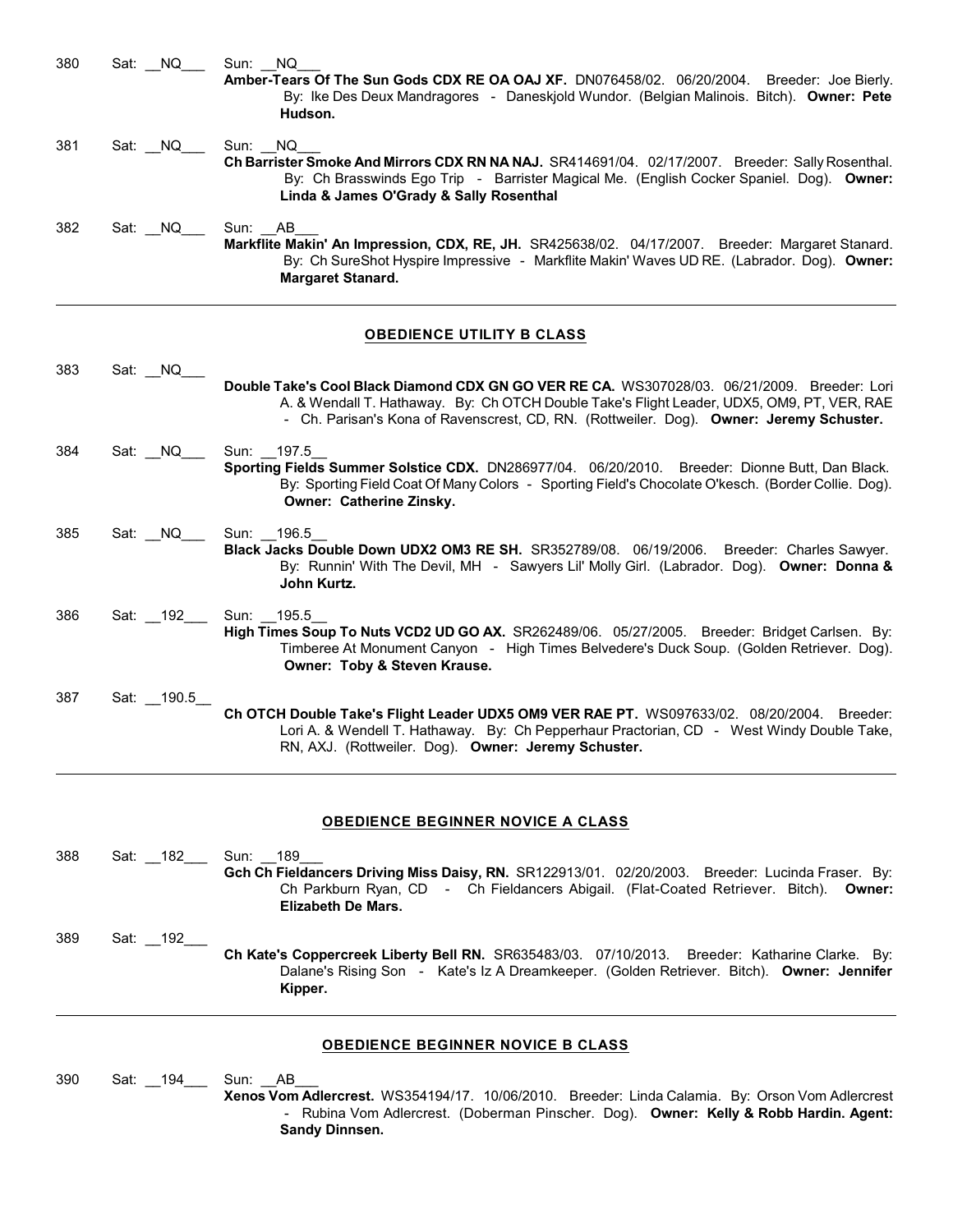| 380 | Sat: NQ    | NQ<br>Sun:<br>Amber-Tears Of The Sun Gods CDX RE OA OAJ XF. DN076458/02. 06/20/2004. Breeder: Joe Bierly.<br>By: Ike Des Deux Mandragores - Daneskjold Wundor. (Belgian Malinois. Bitch). Owner: Pete<br>Hudson.                                                                      |
|-----|------------|---------------------------------------------------------------------------------------------------------------------------------------------------------------------------------------------------------------------------------------------------------------------------------------|
| 381 | Sat: NQ    | NQ.<br>Sun:<br>Ch Barrister Smoke And Mirrors CDX RN NA NAJ. SR414691/04. 02/17/2007. Breeder: Sally Rosenthal.<br>By: Ch Brasswinds Ego Trip - Barrister Magical Me. (English Cocker Spaniel. Dog). Owner:<br>Linda & James O'Grady & Sally Rosenthal                                |
| 382 | Sat: NQ    | Sun: AB<br>Markflite Makin' An Impression, CDX, RE, JH. SR425638/02. 04/17/2007. Breeder: Margaret Stanard.<br>By: Ch SureShot Hyspire Impressive - Markflite Makin' Waves UD RE. (Labrador. Dog). Owner:<br><b>Margaret Stanard.</b>                                                 |
|     |            | <b>OBEDIENCE UTILITY B CLASS</b>                                                                                                                                                                                                                                                      |
| 383 | Sat: NQ    | Double Take's Cool Black Diamond CDX GN GO VER RE CA. WS307028/03. 06/21/2009. Breeder: Lori<br>A. & Wendall T. Hathaway. By: Ch OTCH Double Take's Flight Leader, UDX5, OM9, PT, VER, RAE<br>- Ch. Parisan's Kona of Ravenscrest, CD, RN. (Rottweiler. Dog). Owner: Jeremy Schuster. |
| 384 | Sat: NQ    | Sun: 197.5<br>Sporting Fields Summer Solstice CDX. DN286977/04. 06/20/2010. Breeder: Dionne Butt, Dan Black.<br>By: Sporting Field Coat Of Many Colors - Sporting Field's Chocolate O'kesch. (Border Collie. Dog).<br>Owner: Catherine Zinsky.                                        |
| 385 | Sat: NQ    | Sun: 196.5<br>Black Jacks Double Down UDX2 OM3 RE SH. SR352789/08. 06/19/2006.<br>Breeder: Charles Sawyer.<br>By: Runnin' With The Devil, MH - Sawyers Lil' Molly Girl. (Labrador. Dog). Owner: Donna &<br>John Kurtz.                                                                |
| 386 | Sat: 192   | Sun: 195.5<br>High Times Soup To Nuts VCD2 UD GO AX. SR262489/06. 05/27/2005. Breeder: Bridget Carlsen. By:<br>Timberee At Monument Canyon - High Times Belvedere's Duck Soup. (Golden Retriever. Dog).<br>Owner: Toby & Steven Krause.                                               |
| 387 | Sat: 190.5 | 0 VER RAE RT WOOD7000100                                                                                                                                                                                                                                                              |

## **Ch OTCH Double Take's Flight Leader UDX5 OM9 VER RAE PT.** WS097633/02. 08/20/2004. Breeder: Lori A. & Wendell T. Hathaway. By: Ch Pepperhaur Practorian, CD - West Windy Double Take, RN, AXJ. (Rottweiler. Dog). **Owner: Jeremy Schuster.**

# **OBEDIENCE BEGINNER NOVICE A CLASS**

388 Sat: 182 Sun: 189 Gch Ch Fieldancers Driving Miss Daisy, RN. SR122913/01. 02/20/2003. Breeder: Lucinda Fraser. By: Ch Parkburn Ryan, CD - Ch Fieldancers Abigail. (Flat-Coated Retriever. Bitch). **Owner: Elizabeth De Mars.** 389 Sat: \_\_192\_\_\_ **Ch Kate's Coppercreek Liberty Bell RN.** SR635483/03. 07/10/2013. Breeder: Katharine Clarke. By: Dalane's Rising Son - Kate's Iz A Dreamkeeper. (Golden Retriever. Bitch). **Owner: Jennifer Kipper.**

# **OBEDIENCE BEGINNER NOVICE B CLASS**

390 Sat: \_\_194\_\_\_ Sun: \_\_AB\_\_\_ **Xenos Vom Adlercrest.** WS354194/17. 10/06/2010. Breeder: Linda Calamia. By: Orson Vom Adlercrest - Rubina Vom Adlercrest. (Doberman Pinscher. Dog). **Owner: Kelly & Robb Hardin. Agent: Sandy Dinnsen.**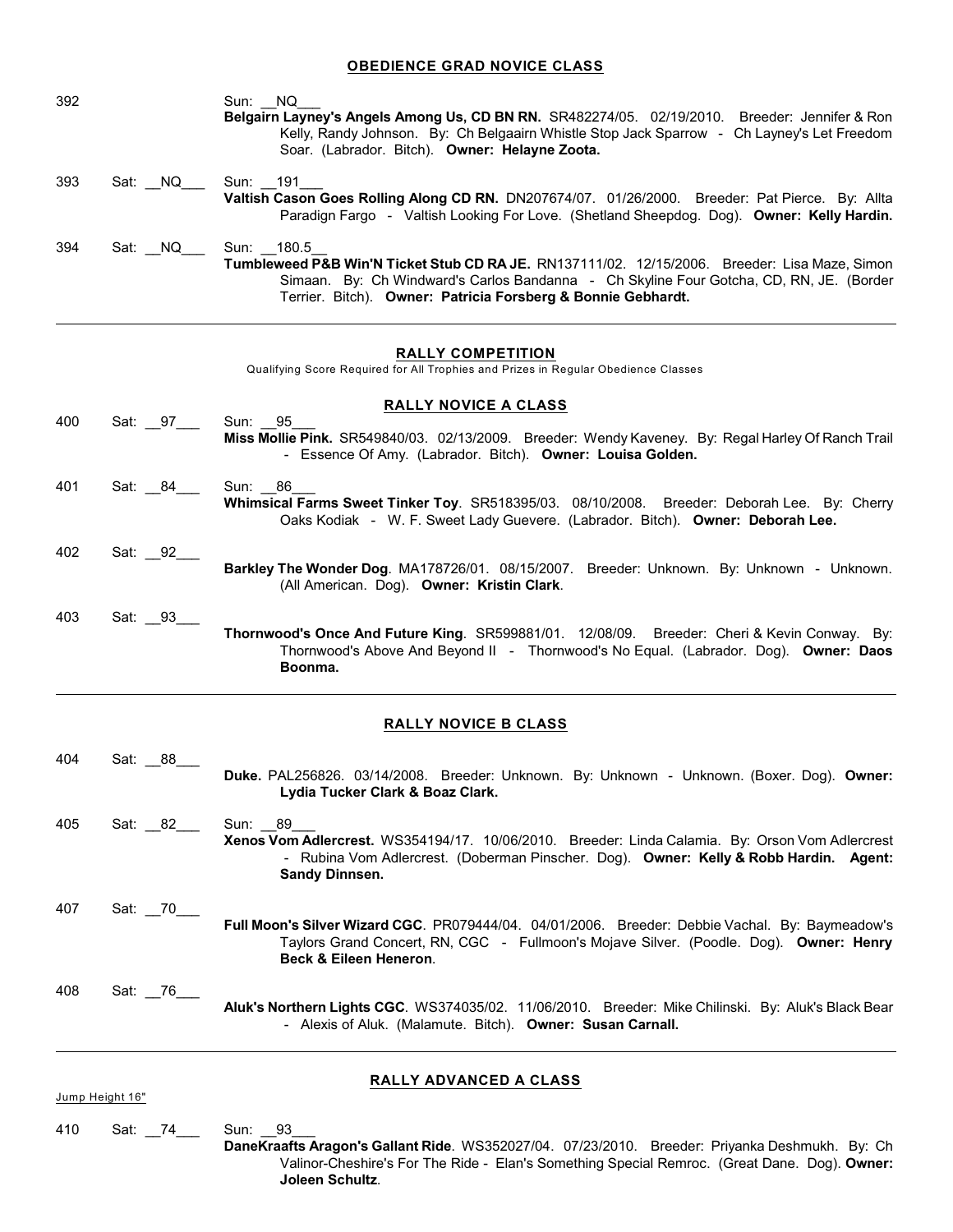#### **OBEDIENCE GRAD NOVICE CLASS**

| 392 |         | Sun: NQ<br>Belgairn Layney's Angels Among Us, CD BN RN. SR482274/05. 02/19/2010. Breeder: Jennifer & Ron<br>Kelly, Randy Johnson. By: Ch Belgaairn Whistle Stop Jack Sparrow - Ch Layney's Let Freedom<br>Soar. (Labrador. Bitch). Owner: Helayne Zoota.               |
|-----|---------|------------------------------------------------------------------------------------------------------------------------------------------------------------------------------------------------------------------------------------------------------------------------|
| 393 | Sat: NQ | Sun: 191<br>Valtish Cason Goes Rolling Along CD RN. DN207674/07. 01/26/2000. Breeder: Pat Pierce. By: Allta<br>Paradign Fargo - Valtish Looking For Love. (Shetland Sheepdog. Dog). Owner: Kelly Hardin.                                                               |
| 394 | Sat: NQ | Sun: 180.5<br>Tumbleweed P&B Win'N Ticket Stub CD RA JE. RN137111/02. 12/15/2006. Breeder: Lisa Maze, Simon<br>Simaan. By: Ch Windward's Carlos Bandanna - Ch Skyline Four Gotcha, CD, RN, JE. (Border<br>Terrier. Bitch). Owner: Patricia Forsberg & Bonnie Gebhardt. |

#### **RALLY COMPETITION**

Qualifying Score Required for All Trophies and Prizes in Regular Obedience Classes

|     |                      | <b>RALLY NOVICE A CLASS</b>                                                                                                                                                                               |
|-----|----------------------|-----------------------------------------------------------------------------------------------------------------------------------------------------------------------------------------------------------|
| 400 | Sat: 97 Sun: 95      | Miss Mollie Pink. SR549840/03. 02/13/2009. Breeder: Wendy Kaveney. By: Regal Harley Of Ranch Trail<br>- Essence Of Amy. (Labrador. Bitch). Owner: Louisa Golden.                                          |
| 401 | Sat: 84____ Sun: 86_ | Whimsical Farms Sweet Tinker Toy. SR518395/03. 08/10/2008. Breeder: Deborah Lee. By: Cherry<br>Oaks Kodiak - W. F. Sweet Lady Guevere. (Labrador. Bitch). Owner: Deborah Lee.                             |
| 402 | Sat: _92_            | Barkley The Wonder Dog. MA178726/01. 08/15/2007. Breeder: Unknown. By: Unknown - Unknown.<br>(All American. Dog). Owner: Kristin Clark.                                                                   |
| 403 | Sat: 93              | <b>Thornwood's Once And Future King. SR599881/01. 12/08/09. Breeder: Cheri &amp; Kevin Conway. By:</b><br>Thornwood's Above And Beyond II - Thornwood's No Equal. (Labrador. Dog). Owner: Daos<br>Boonma. |

## **RALLY NOVICE B CLASS**

| 404 | Sat: 88  |                                                                                                                                                                                                            |
|-----|----------|------------------------------------------------------------------------------------------------------------------------------------------------------------------------------------------------------------|
|     |          | Duke. PAL256826. 03/14/2008. Breeder: Unknown. By: Unknown - Unknown. (Boxer. Dog). Owner:<br>Lydia Tucker Clark & Boaz Clark.                                                                             |
| 405 | Sat: 82  | Sun: 89                                                                                                                                                                                                    |
|     |          | Xenos Vom Adlercrest. WS354194/17. 10/06/2010. Breeder: Linda Calamia. By: Orson Vom Adlercrest<br>- Rubina Vom Adlercrest. (Doberman Pinscher. Dog). Owner: Kelly & Robb Hardin. Agent:<br>Sandy Dinnsen. |
| 407 | Sat: 70_ |                                                                                                                                                                                                            |
|     |          | <b>Full Moon's Silver Wizard CGC.</b> PR079444/04. 04/01/2006. Breeder: Debbie Vachal. By: Baymeadow's                                                                                                     |
|     |          | Taylors Grand Concert, RN, CGC - Fullmoon's Mojave Silver. (Poodle. Dog). Owner: Henry<br><b>Beck &amp; Eileen Heneron.</b>                                                                                |
| 408 | Sat: 76  |                                                                                                                                                                                                            |
|     |          | Aluk's Northern Lights CGC. WS374035/02. 11/06/2010. Breeder: Mike Chilinski. By: Aluk's Black Bear<br>- Alexis of Aluk. (Malamute. Bitch). Owner: Susan Carnall.                                          |
|     |          |                                                                                                                                                                                                            |
|     |          | <b>DAIIV ANVANCEN A CLASS</b>                                                                                                                                                                              |

Jump Height 16"

#### **RALLY ADVANCED A CLASS**

410 Sat: 74\_\_\_ Sun: 93

**DaneKraafts Aragon's Gallant Ride**. WS352027/04. 07/23/2010. Breeder: Priyanka Deshmukh. By: Ch Valinor-Cheshire's For The Ride - Elan's Something Special Remroc. (Great Dane. Dog). **Owner: Joleen Schultz**.